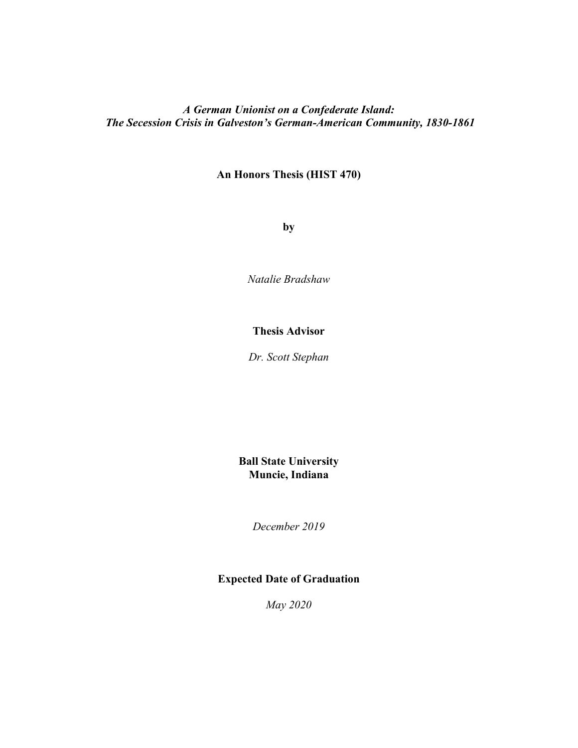# *A German Unionist on a Confederate Island: The Secession Crisis in Galveston's German-American Community, 1830-1861*

# **An Honors Thesis (HIST 470)**

**by** 

*Natalie Bradshaw* 

# **Thesis Advisor**

*Dr. Scott Stephan*

**Ball State University Muncie, Indiana** 

*December 2019*

# **Expected Date of Graduation**

*May 2020*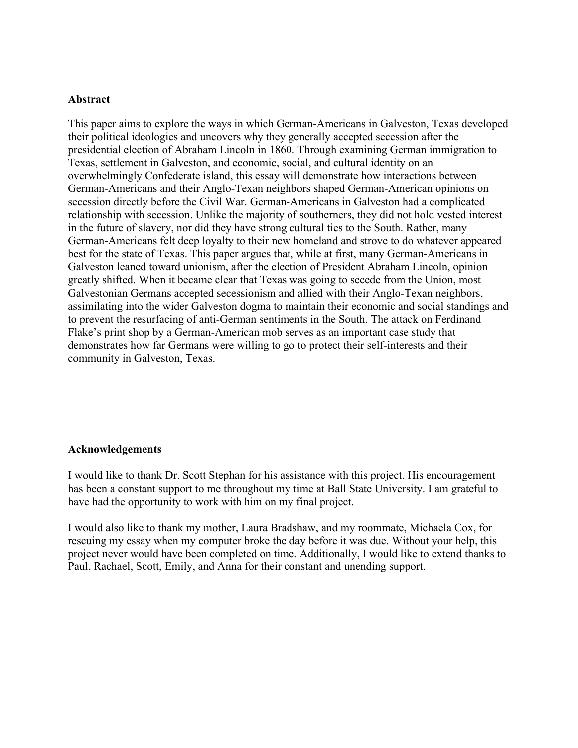# **Abstract**

This paper aims to explore the ways in which German-Americans in Galveston, Texas developed their political ideologies and uncovers why they generally accepted secession after the presidential election of Abraham Lincoln in 1860. Through examining German immigration to Texas, settlement in Galveston, and economic, social, and cultural identity on an overwhelmingly Confederate island, this essay will demonstrate how interactions between German-Americans and their Anglo-Texan neighbors shaped German-American opinions on secession directly before the Civil War. German-Americans in Galveston had a complicated relationship with secession. Unlike the majority of southerners, they did not hold vested interest in the future of slavery, nor did they have strong cultural ties to the South. Rather, many German-Americans felt deep loyalty to their new homeland and strove to do whatever appeared best for the state of Texas. This paper argues that, while at first, many German-Americans in Galveston leaned toward unionism, after the election of President Abraham Lincoln, opinion greatly shifted. When it became clear that Texas was going to secede from the Union, most Galvestonian Germans accepted secessionism and allied with their Anglo-Texan neighbors, assimilating into the wider Galveston dogma to maintain their economic and social standings and to prevent the resurfacing of anti-German sentiments in the South. The attack on Ferdinand Flake's print shop by a German-American mob serves as an important case study that demonstrates how far Germans were willing to go to protect their self-interests and their community in Galveston, Texas.

# **Acknowledgements**

I would like to thank Dr. Scott Stephan for his assistance with this project. His encouragement has been a constant support to me throughout my time at Ball State University. I am grateful to have had the opportunity to work with him on my final project.

I would also like to thank my mother, Laura Bradshaw, and my roommate, Michaela Cox, for rescuing my essay when my computer broke the day before it was due. Without your help, this project never would have been completed on time. Additionally, I would like to extend thanks to Paul, Rachael, Scott, Emily, and Anna for their constant and unending support.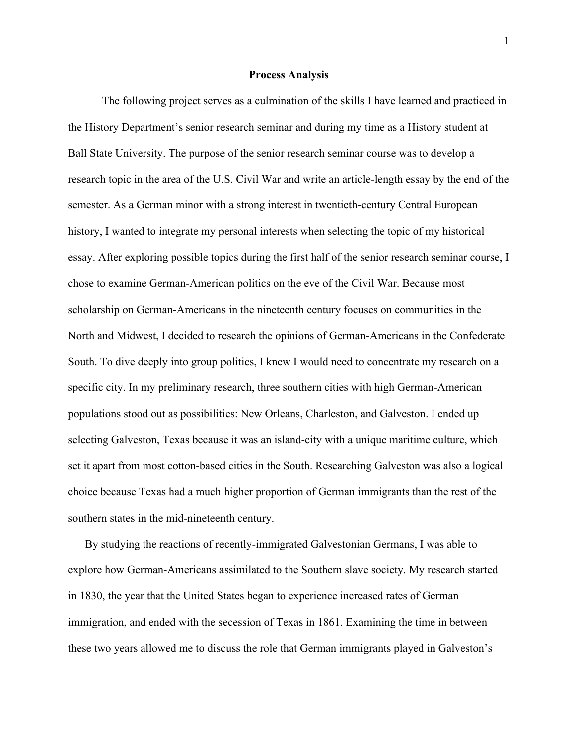#### **Process Analysis**

The following project serves as a culmination of the skills I have learned and practiced in the History Department's senior research seminar and during my time as a History student at Ball State University. The purpose of the senior research seminar course was to develop a research topic in the area of the U.S. Civil War and write an article-length essay by the end of the semester. As a German minor with a strong interest in twentieth-century Central European history, I wanted to integrate my personal interests when selecting the topic of my historical essay. After exploring possible topics during the first half of the senior research seminar course, I chose to examine German-American politics on the eve of the Civil War. Because most scholarship on German-Americans in the nineteenth century focuses on communities in the North and Midwest, I decided to research the opinions of German-Americans in the Confederate South. To dive deeply into group politics, I knew I would need to concentrate my research on a specific city. In my preliminary research, three southern cities with high German-American populations stood out as possibilities: New Orleans, Charleston, and Galveston. I ended up selecting Galveston, Texas because it was an island-city with a unique maritime culture, which set it apart from most cotton-based cities in the South. Researching Galveston was also a logical choice because Texas had a much higher proportion of German immigrants than the rest of the southern states in the mid-nineteenth century.

By studying the reactions of recently-immigrated Galvestonian Germans, I was able to explore how German-Americans assimilated to the Southern slave society. My research started in 1830, the year that the United States began to experience increased rates of German immigration, and ended with the secession of Texas in 1861. Examining the time in between these two years allowed me to discuss the role that German immigrants played in Galveston's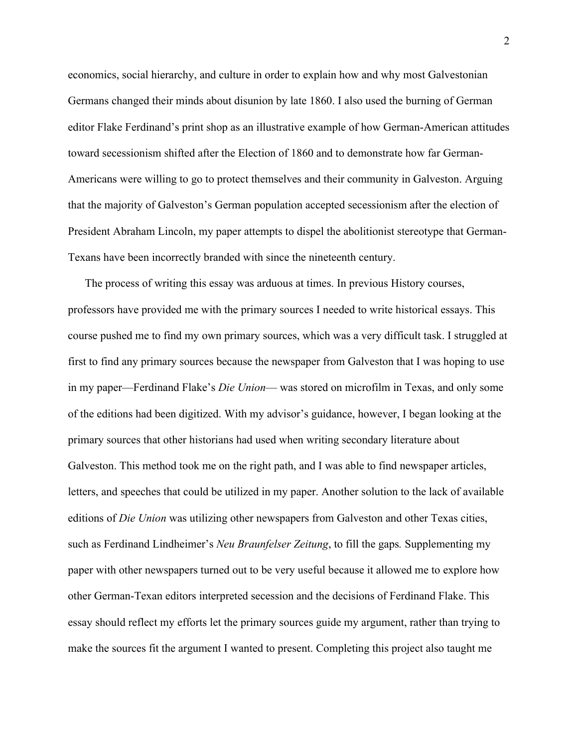economics, social hierarchy, and culture in order to explain how and why most Galvestonian Germans changed their minds about disunion by late 1860. I also used the burning of German editor Flake Ferdinand's print shop as an illustrative example of how German-American attitudes toward secessionism shifted after the Election of 1860 and to demonstrate how far German-Americans were willing to go to protect themselves and their community in Galveston. Arguing that the majority of Galveston's German population accepted secessionism after the election of President Abraham Lincoln, my paper attempts to dispel the abolitionist stereotype that German-Texans have been incorrectly branded with since the nineteenth century.

The process of writing this essay was arduous at times. In previous History courses, professors have provided me with the primary sources I needed to write historical essays. This course pushed me to find my own primary sources, which was a very difficult task. I struggled at first to find any primary sources because the newspaper from Galveston that I was hoping to use in my paper—Ferdinand Flake's *Die Union*— was stored on microfilm in Texas, and only some of the editions had been digitized. With my advisor's guidance, however, I began looking at the primary sources that other historians had used when writing secondary literature about Galveston. This method took me on the right path, and I was able to find newspaper articles, letters, and speeches that could be utilized in my paper. Another solution to the lack of available editions of *Die Union* was utilizing other newspapers from Galveston and other Texas cities, such as Ferdinand Lindheimer's *Neu Braunfelser Zeitung*, to fill the gaps*.* Supplementing my paper with other newspapers turned out to be very useful because it allowed me to explore how other German-Texan editors interpreted secession and the decisions of Ferdinand Flake. This essay should reflect my efforts let the primary sources guide my argument, rather than trying to make the sources fit the argument I wanted to present. Completing this project also taught me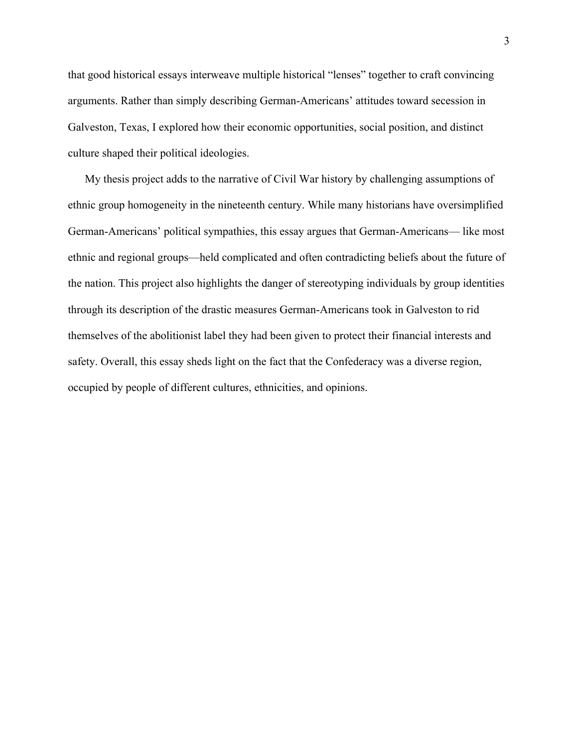that good historical essays interweave multiple historical "lenses" together to craft convincing arguments. Rather than simply describing German-Americans' attitudes toward secession in Galveston, Texas, I explored how their economic opportunities, social position, and distinct culture shaped their political ideologies.

My thesis project adds to the narrative of Civil War history by challenging assumptions of ethnic group homogeneity in the nineteenth century. While many historians have oversimplified German-Americans' political sympathies, this essay argues that German-Americans— like most ethnic and regional groups—held complicated and often contradicting beliefs about the future of the nation. This project also highlights the danger of stereotyping individuals by group identities through its description of the drastic measures German-Americans took in Galveston to rid themselves of the abolitionist label they had been given to protect their financial interests and safety. Overall, this essay sheds light on the fact that the Confederacy was a diverse region, occupied by people of different cultures, ethnicities, and opinions.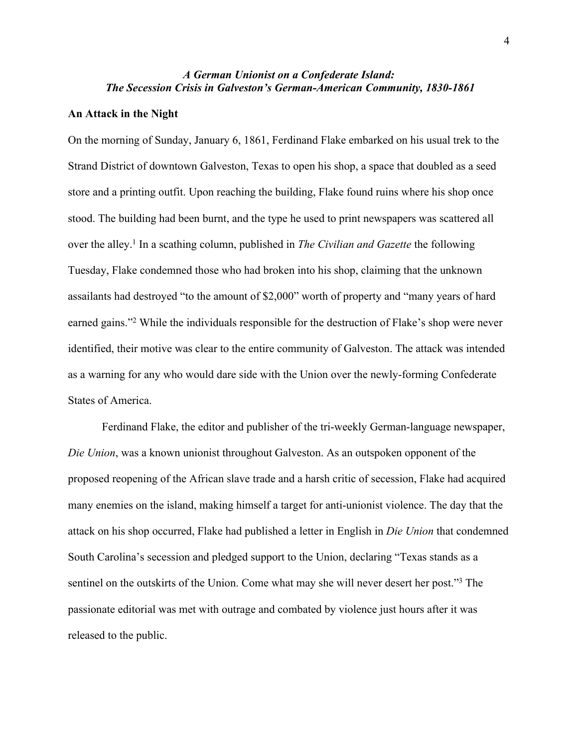# *A German Unionist on a Confederate Island: The Secession Crisis in Galveston's German-American Community, 1830-1861*

### **An Attack in the Night**

On the morning of Sunday, January 6, 1861, Ferdinand Flake embarked on his usual trek to the Strand District of downtown Galveston, Texas to open his shop, a space that doubled as a seed store and a printing outfit. Upon reaching the building, Flake found ruins where his shop once stood. The building had been burnt, and the type he used to print newspapers was scattered all over the alley.<sup>1</sup> In a scathing column, published in *The Civilian and Gazette* the following Tuesday, Flake condemned those who had broken into his shop, claiming that the unknown assailants had destroyed "to the amount of \$2,000" worth of property and "many years of hard earned gains."<sup>2</sup> While the individuals responsible for the destruction of Flake's shop were never identified, their motive was clear to the entire community of Galveston. The attack was intended as a warning for any who would dare side with the Union over the newly-forming Confederate States of America.

Ferdinand Flake, the editor and publisher of the tri-weekly German-language newspaper, *Die Union*, was a known unionist throughout Galveston. As an outspoken opponent of the proposed reopening of the African slave trade and a harsh critic of secession, Flake had acquired many enemies on the island, making himself a target for anti-unionist violence. The day that the attack on his shop occurred, Flake had published a letter in English in *Die Union* that condemned South Carolina's secession and pledged support to the Union, declaring "Texas stands as a sentinel on the outskirts of the Union. Come what may she will never desert her post."<sup>3</sup> The passionate editorial was met with outrage and combated by violence just hours after it was released to the public.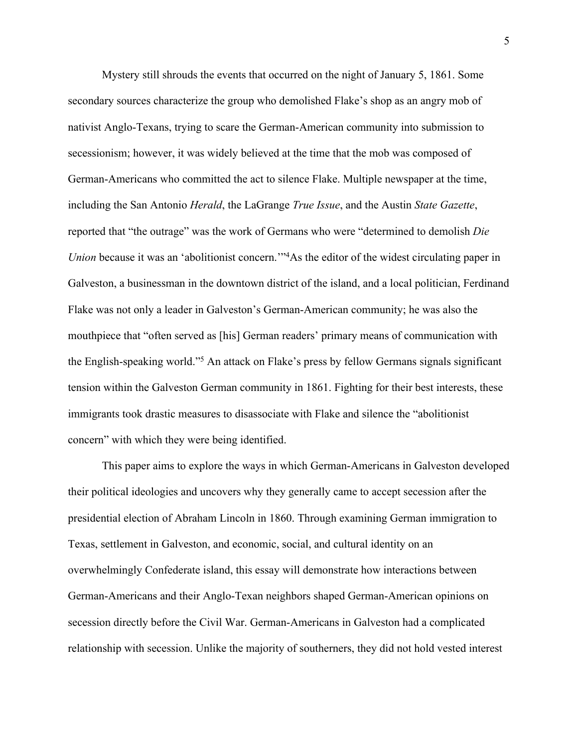Mystery still shrouds the events that occurred on the night of January 5, 1861. Some secondary sources characterize the group who demolished Flake's shop as an angry mob of nativist Anglo-Texans, trying to scare the German-American community into submission to secessionism; however, it was widely believed at the time that the mob was composed of German-Americans who committed the act to silence Flake. Multiple newspaper at the time, including the San Antonio *Herald*, the LaGrange *True Issue*, and the Austin *State Gazette*, reported that "the outrage" was the work of Germans who were "determined to demolish *Die Union* because it was an 'abolitionist concern.<sup>114</sup>As the editor of the widest circulating paper in Galveston, a businessman in the downtown district of the island, and a local politician, Ferdinand Flake was not only a leader in Galveston's German-American community; he was also the mouthpiece that "often served as [his] German readers' primary means of communication with the English-speaking world."<sup>5</sup> An attack on Flake's press by fellow Germans signals significant tension within the Galveston German community in 1861. Fighting for their best interests, these immigrants took drastic measures to disassociate with Flake and silence the "abolitionist concern" with which they were being identified.

This paper aims to explore the ways in which German-Americans in Galveston developed their political ideologies and uncovers why they generally came to accept secession after the presidential election of Abraham Lincoln in 1860. Through examining German immigration to Texas, settlement in Galveston, and economic, social, and cultural identity on an overwhelmingly Confederate island, this essay will demonstrate how interactions between German-Americans and their Anglo-Texan neighbors shaped German-American opinions on secession directly before the Civil War. German-Americans in Galveston had a complicated relationship with secession. Unlike the majority of southerners, they did not hold vested interest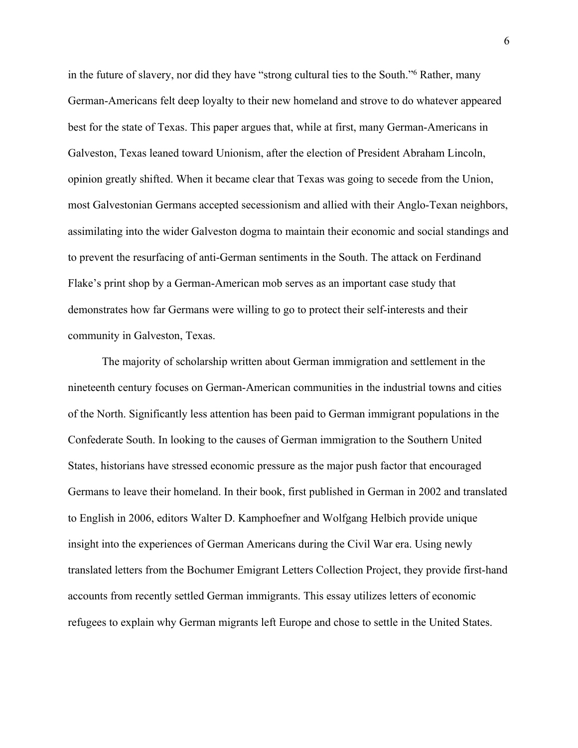in the future of slavery, nor did they have "strong cultural ties to the South."<sup>6</sup> Rather, many German-Americans felt deep loyalty to their new homeland and strove to do whatever appeared best for the state of Texas. This paper argues that, while at first, many German-Americans in Galveston, Texas leaned toward Unionism, after the election of President Abraham Lincoln, opinion greatly shifted. When it became clear that Texas was going to secede from the Union, most Galvestonian Germans accepted secessionism and allied with their Anglo-Texan neighbors, assimilating into the wider Galveston dogma to maintain their economic and social standings and to prevent the resurfacing of anti-German sentiments in the South. The attack on Ferdinand Flake's print shop by a German-American mob serves as an important case study that demonstrates how far Germans were willing to go to protect their self-interests and their community in Galveston, Texas.

The majority of scholarship written about German immigration and settlement in the nineteenth century focuses on German-American communities in the industrial towns and cities of the North. Significantly less attention has been paid to German immigrant populations in the Confederate South. In looking to the causes of German immigration to the Southern United States, historians have stressed economic pressure as the major push factor that encouraged Germans to leave their homeland. In their book, first published in German in 2002 and translated to English in 2006, editors Walter D. Kamphoefner and Wolfgang Helbich provide unique insight into the experiences of German Americans during the Civil War era. Using newly translated letters from the Bochumer Emigrant Letters Collection Project, they provide first-hand accounts from recently settled German immigrants. This essay utilizes letters of economic refugees to explain why German migrants left Europe and chose to settle in the United States.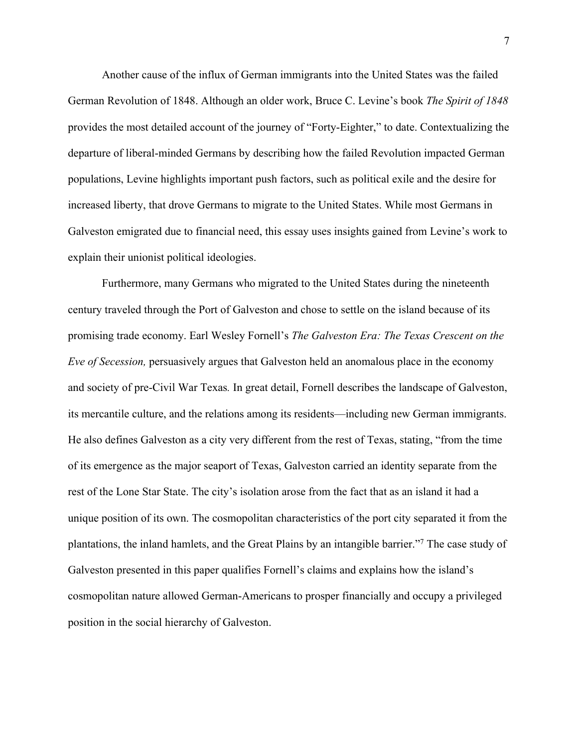Another cause of the influx of German immigrants into the United States was the failed German Revolution of 1848. Although an older work, Bruce C. Levine's book *The Spirit of 1848* provides the most detailed account of the journey of "Forty-Eighter," to date. Contextualizing the departure of liberal-minded Germans by describing how the failed Revolution impacted German populations, Levine highlights important push factors, such as political exile and the desire for increased liberty, that drove Germans to migrate to the United States. While most Germans in Galveston emigrated due to financial need, this essay uses insights gained from Levine's work to explain their unionist political ideologies.

Furthermore, many Germans who migrated to the United States during the nineteenth century traveled through the Port of Galveston and chose to settle on the island because of its promising trade economy. Earl Wesley Fornell's *The Galveston Era: The Texas Crescent on the Eve of Secession,* persuasively argues that Galveston held an anomalous place in the economy and society of pre-Civil War Texas*.* In great detail, Fornell describes the landscape of Galveston, its mercantile culture, and the relations among its residents—including new German immigrants. He also defines Galveston as a city very different from the rest of Texas, stating, "from the time of its emergence as the major seaport of Texas, Galveston carried an identity separate from the rest of the Lone Star State. The city's isolation arose from the fact that as an island it had a unique position of its own. The cosmopolitan characteristics of the port city separated it from the plantations, the inland hamlets, and the Great Plains by an intangible barrier."<sup>7</sup> The case study of Galveston presented in this paper qualifies Fornell's claims and explains how the island's cosmopolitan nature allowed German-Americans to prosper financially and occupy a privileged position in the social hierarchy of Galveston.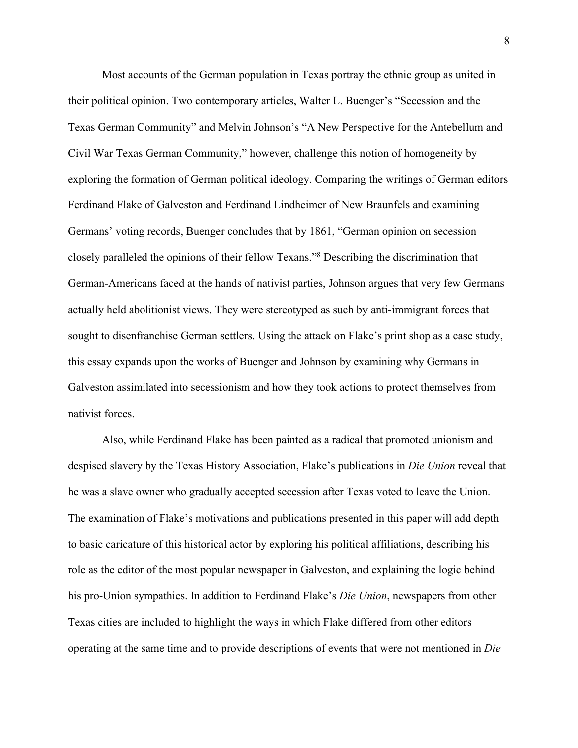Most accounts of the German population in Texas portray the ethnic group as united in their political opinion. Two contemporary articles, Walter L. Buenger's "Secession and the Texas German Community" and Melvin Johnson's "A New Perspective for the Antebellum and Civil War Texas German Community," however, challenge this notion of homogeneity by exploring the formation of German political ideology. Comparing the writings of German editors Ferdinand Flake of Galveston and Ferdinand Lindheimer of New Braunfels and examining Germans' voting records, Buenger concludes that by 1861, "German opinion on secession closely paralleled the opinions of their fellow Texans."<sup>8</sup> Describing the discrimination that German-Americans faced at the hands of nativist parties, Johnson argues that very few Germans actually held abolitionist views. They were stereotyped as such by anti-immigrant forces that sought to disenfranchise German settlers. Using the attack on Flake's print shop as a case study, this essay expands upon the works of Buenger and Johnson by examining why Germans in Galveston assimilated into secessionism and how they took actions to protect themselves from nativist forces.

Also, while Ferdinand Flake has been painted as a radical that promoted unionism and despised slavery by the Texas History Association, Flake's publications in *Die Union* reveal that he was a slave owner who gradually accepted secession after Texas voted to leave the Union. The examination of Flake's motivations and publications presented in this paper will add depth to basic caricature of this historical actor by exploring his political affiliations, describing his role as the editor of the most popular newspaper in Galveston, and explaining the logic behind his pro-Union sympathies. In addition to Ferdinand Flake's *Die Union*, newspapers from other Texas cities are included to highlight the ways in which Flake differed from other editors operating at the same time and to provide descriptions of events that were not mentioned in *Die*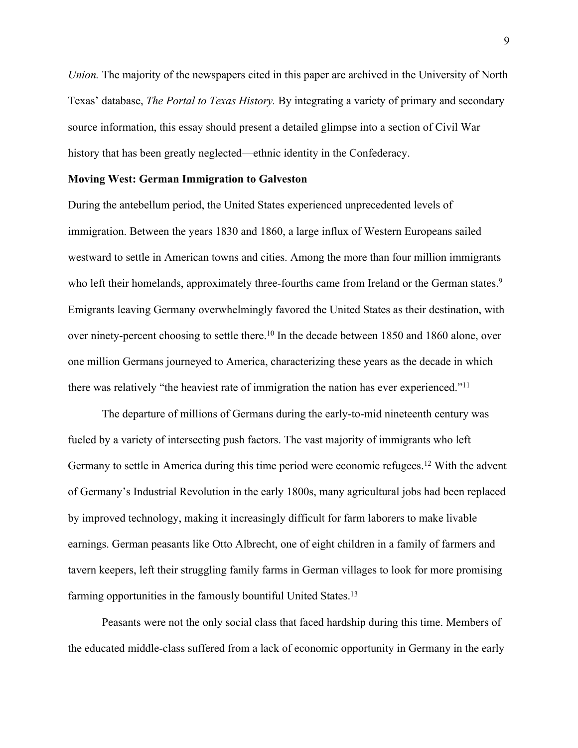*Union*. The majority of the newspapers cited in this paper are archived in the University of North Texas' database, *The Portal to Texas History.* By integrating a variety of primary and secondary source information, this essay should present a detailed glimpse into a section of Civil War history that has been greatly neglected—ethnic identity in the Confederacy.

### **Moving West: German Immigration to Galveston**

During the antebellum period, the United States experienced unprecedented levels of immigration. Between the years 1830 and 1860, a large influx of Western Europeans sailed westward to settle in American towns and cities. Among the more than four million immigrants who left their homelands, approximately three-fourths came from Ireland or the German states.<sup>9</sup> Emigrants leaving Germany overwhelmingly favored the United States as their destination, with over ninety-percent choosing to settle there.<sup>10</sup> In the decade between 1850 and 1860 alone, over one million Germans journeyed to America, characterizing these years as the decade in which there was relatively "the heaviest rate of immigration the nation has ever experienced."<sup>11</sup>

The departure of millions of Germans during the early-to-mid nineteenth century was fueled by a variety of intersecting push factors. The vast majority of immigrants who left Germany to settle in America during this time period were economic refugees.<sup>12</sup> With the advent of Germany's Industrial Revolution in the early 1800s, many agricultural jobs had been replaced by improved technology, making it increasingly difficult for farm laborers to make livable earnings. German peasants like Otto Albrecht, one of eight children in a family of farmers and tavern keepers, left their struggling family farms in German villages to look for more promising farming opportunities in the famously bountiful United States.<sup>13</sup>

Peasants were not the only social class that faced hardship during this time. Members of the educated middle-class suffered from a lack of economic opportunity in Germany in the early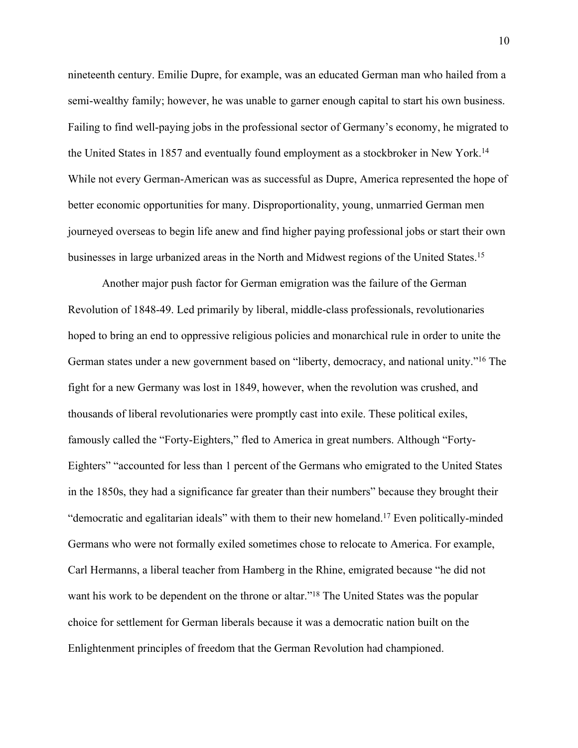nineteenth century. Emilie Dupre, for example, was an educated German man who hailed from a semi-wealthy family; however, he was unable to garner enough capital to start his own business. Failing to find well-paying jobs in the professional sector of Germany's economy, he migrated to the United States in 1857 and eventually found employment as a stockbroker in New York.<sup>14</sup> While not every German-American was as successful as Dupre, America represented the hope of better economic opportunities for many. Disproportionality, young, unmarried German men journeyed overseas to begin life anew and find higher paying professional jobs or start their own businesses in large urbanized areas in the North and Midwest regions of the United States.<sup>15</sup>

Another major push factor for German emigration was the failure of the German Revolution of 1848-49. Led primarily by liberal, middle-class professionals, revolutionaries hoped to bring an end to oppressive religious policies and monarchical rule in order to unite the German states under a new government based on "liberty, democracy, and national unity."<sup>16</sup> The fight for a new Germany was lost in 1849, however, when the revolution was crushed, and thousands of liberal revolutionaries were promptly cast into exile. These political exiles, famously called the "Forty-Eighters," fled to America in great numbers. Although "Forty-Eighters" "accounted for less than 1 percent of the Germans who emigrated to the United States in the 1850s, they had a significance far greater than their numbers" because they brought their "democratic and egalitarian ideals" with them to their new homeland.<sup>17</sup> Even politically-minded Germans who were not formally exiled sometimes chose to relocate to America. For example, Carl Hermanns, a liberal teacher from Hamberg in the Rhine, emigrated because "he did not want his work to be dependent on the throne or altar."<sup>18</sup> The United States was the popular choice for settlement for German liberals because it was a democratic nation built on the Enlightenment principles of freedom that the German Revolution had championed.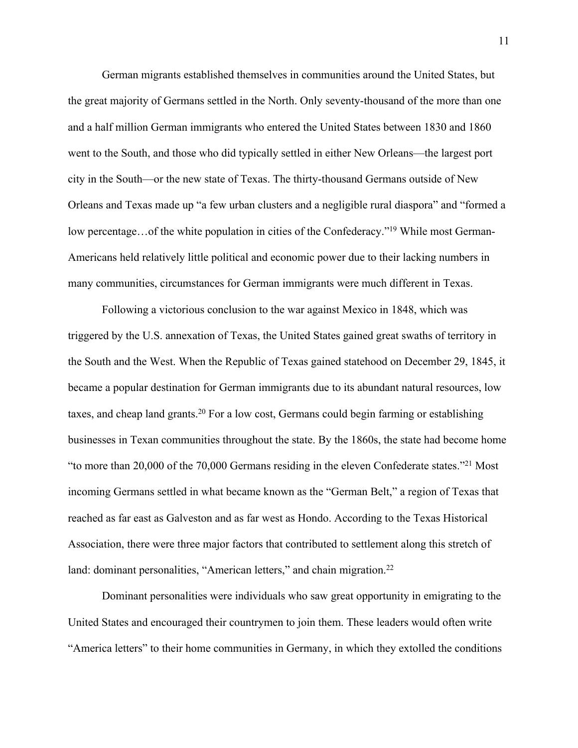German migrants established themselves in communities around the United States, but the great majority of Germans settled in the North. Only seventy-thousand of the more than one and a half million German immigrants who entered the United States between 1830 and 1860 went to the South, and those who did typically settled in either New Orleans—the largest port city in the South—or the new state of Texas. The thirty-thousand Germans outside of New Orleans and Texas made up "a few urban clusters and a negligible rural diaspora" and "formed a low percentage...of the white population in cities of the Confederacy."<sup>19</sup> While most German-Americans held relatively little political and economic power due to their lacking numbers in many communities, circumstances for German immigrants were much different in Texas.

Following a victorious conclusion to the war against Mexico in 1848, which was triggered by the U.S. annexation of Texas, the United States gained great swaths of territory in the South and the West. When the Republic of Texas gained statehood on December 29, 1845, it became a popular destination for German immigrants due to its abundant natural resources, low taxes, and cheap land grants.<sup>20</sup> For a low cost, Germans could begin farming or establishing businesses in Texan communities throughout the state. By the 1860s, the state had become home "to more than 20,000 of the 70,000 Germans residing in the eleven Confederate states."<sup>21</sup> Most incoming Germans settled in what became known as the "German Belt," a region of Texas that reached as far east as Galveston and as far west as Hondo. According to the Texas Historical Association, there were three major factors that contributed to settlement along this stretch of land: dominant personalities, "American letters," and chain migration.<sup>22</sup>

Dominant personalities were individuals who saw great opportunity in emigrating to the United States and encouraged their countrymen to join them. These leaders would often write "America letters" to their home communities in Germany, in which they extolled the conditions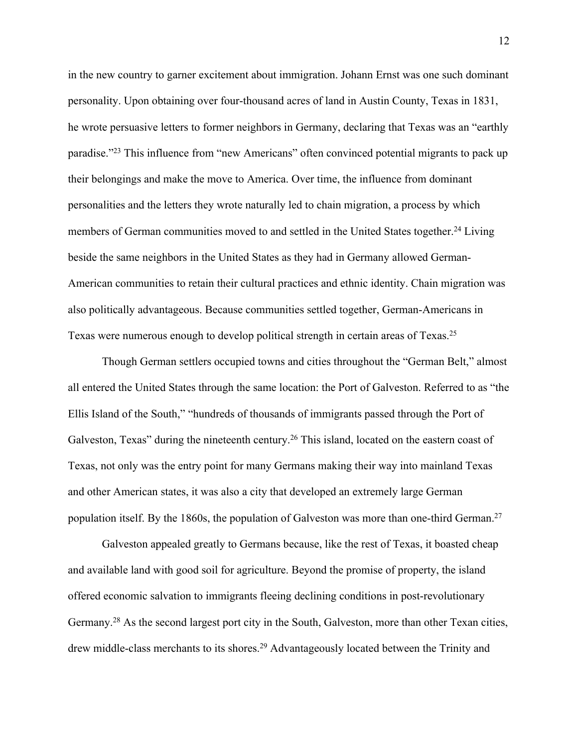in the new country to garner excitement about immigration. Johann Ernst was one such dominant personality. Upon obtaining over four-thousand acres of land in Austin County, Texas in 1831, he wrote persuasive letters to former neighbors in Germany, declaring that Texas was an "earthly paradise."<sup>23</sup> This influence from "new Americans" often convinced potential migrants to pack up their belongings and make the move to America. Over time, the influence from dominant personalities and the letters they wrote naturally led to chain migration, a process by which members of German communities moved to and settled in the United States together.<sup>24</sup> Living beside the same neighbors in the United States as they had in Germany allowed German-American communities to retain their cultural practices and ethnic identity. Chain migration was also politically advantageous. Because communities settled together, German-Americans in Texas were numerous enough to develop political strength in certain areas of Texas.<sup>25</sup>

Though German settlers occupied towns and cities throughout the "German Belt," almost all entered the United States through the same location: the Port of Galveston. Referred to as "the Ellis Island of the South," "hundreds of thousands of immigrants passed through the Port of Galveston, Texas" during the nineteenth century.<sup>26</sup> This island, located on the eastern coast of Texas, not only was the entry point for many Germans making their way into mainland Texas and other American states, it was also a city that developed an extremely large German population itself. By the 1860s, the population of Galveston was more than one-third German.<sup>27</sup>

Galveston appealed greatly to Germans because, like the rest of Texas, it boasted cheap and available land with good soil for agriculture. Beyond the promise of property, the island offered economic salvation to immigrants fleeing declining conditions in post-revolutionary Germany.<sup>28</sup> As the second largest port city in the South, Galveston, more than other Texan cities, drew middle-class merchants to its shores.<sup>29</sup> Advantageously located between the Trinity and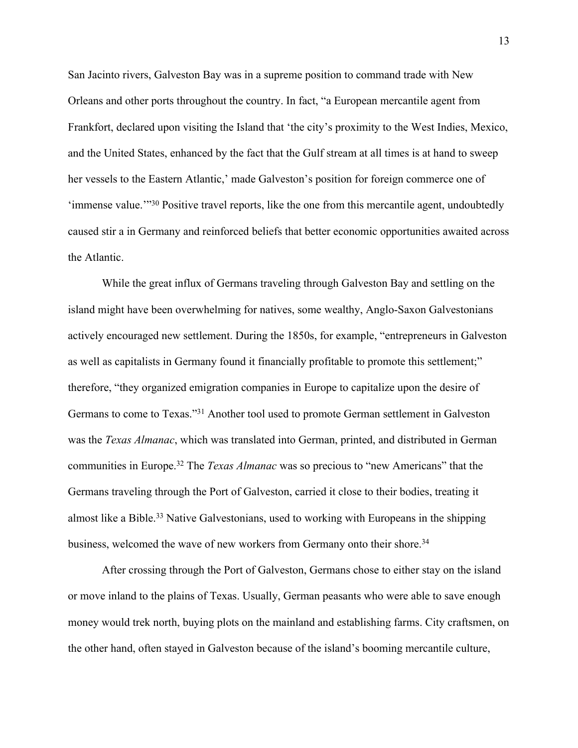San Jacinto rivers, Galveston Bay was in a supreme position to command trade with New Orleans and other ports throughout the country. In fact, "a European mercantile agent from Frankfort, declared upon visiting the Island that 'the city's proximity to the West Indies, Mexico, and the United States, enhanced by the fact that the Gulf stream at all times is at hand to sweep her vessels to the Eastern Atlantic,' made Galveston's position for foreign commerce one of 'immense value.'"<sup>30</sup> Positive travel reports, like the one from this mercantile agent, undoubtedly caused stir a in Germany and reinforced beliefs that better economic opportunities awaited across the Atlantic.

While the great influx of Germans traveling through Galveston Bay and settling on the island might have been overwhelming for natives, some wealthy, Anglo-Saxon Galvestonians actively encouraged new settlement. During the 1850s, for example, "entrepreneurs in Galveston as well as capitalists in Germany found it financially profitable to promote this settlement;" therefore, "they organized emigration companies in Europe to capitalize upon the desire of Germans to come to Texas."<sup>31</sup> Another tool used to promote German settlement in Galveston was the *Texas Almanac*, which was translated into German, printed, and distributed in German communities in Europe.<sup>32</sup> The *Texas Almanac* was so precious to "new Americans" that the Germans traveling through the Port of Galveston, carried it close to their bodies, treating it almost like a Bible.<sup>33</sup> Native Galvestonians, used to working with Europeans in the shipping business, welcomed the wave of new workers from Germany onto their shore.<sup>34</sup>

After crossing through the Port of Galveston, Germans chose to either stay on the island or move inland to the plains of Texas. Usually, German peasants who were able to save enough money would trek north, buying plots on the mainland and establishing farms. City craftsmen, on the other hand, often stayed in Galveston because of the island's booming mercantile culture,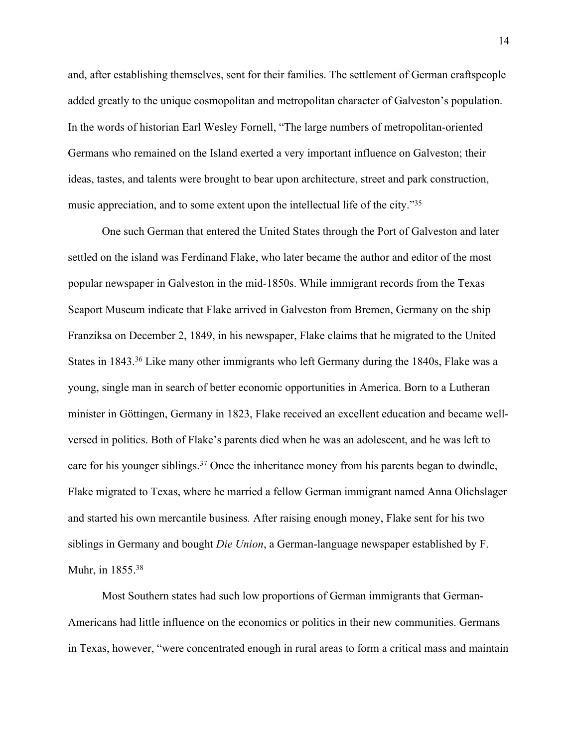and, after establishing themselves, sent for their families. The settlement of German craftspeople added greatly to the unique cosmopolitan and metropolitan character of Galveston's population. In the words of historian Earl Wesley Fornell, "The large numbers of metropolitan-oriented Germans who remained on the Island exerted a very important influence on Galveston; their ideas, tastes, and talents were brought to bear upon architecture, street and park construction, music appreciation, and to some extent upon the intellectual life of the city."<sup>35</sup>

One such German that entered the United States through the Port of Galveston and later settled on the island was Ferdinand Flake, who later became the author and editor of the most popular newspaper in Galveston in the mid-1850s. While immigrant records from the Texas Seaport Museum indicate that Flake arrived in Galveston from Bremen, Germany on the ship Franziksa on December 2, 1849, in his newspaper, Flake claims that he migrated to the United States in 1843.<sup>36</sup> Like many other immigrants who left Germany during the 1840s, Flake was a young, single man in search of better economic opportunities in America. Born to a Lutheran minister in Göttingen, Germany in 1823, Flake received an excellent education and became wellversed in politics. Both of Flake's parents died when he was an adolescent, and he was left to care for his younger siblings.<sup>37</sup> Once the inheritance money from his parents began to dwindle, Flake migrated to Texas, where he married a fellow German immigrant named Anna Olichslager and started his own mercantile business*.* After raising enough money, Flake sent for his two siblings in Germany and bought *Die Union*, a German-language newspaper established by F. Muhr, in 1855.<sup>38</sup>

Most Southern states had such low proportions of German immigrants that German-Americans had little influence on the economics or politics in their new communities. Germans in Texas, however, "were concentrated enough in rural areas to form a critical mass and maintain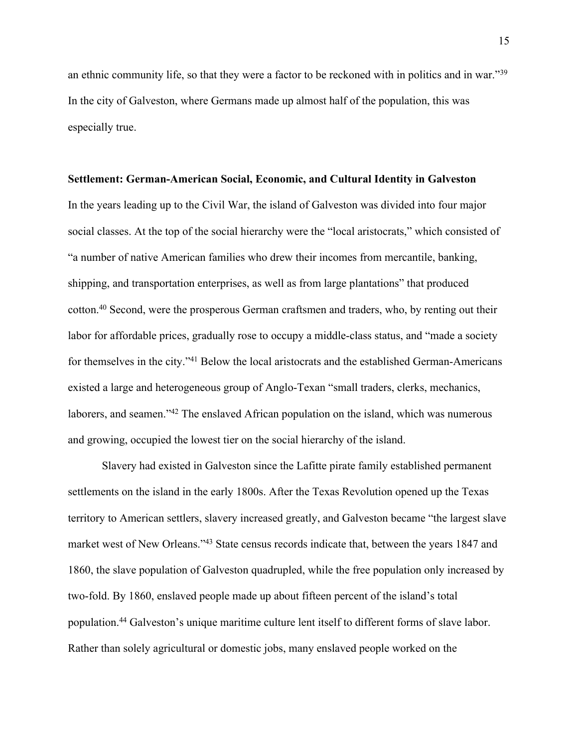an ethnic community life, so that they were a factor to be reckoned with in politics and in war."<sup>39</sup> In the city of Galveston, where Germans made up almost half of the population, this was especially true.

#### **Settlement: German-American Social, Economic, and Cultural Identity in Galveston**

In the years leading up to the Civil War, the island of Galveston was divided into four major social classes. At the top of the social hierarchy were the "local aristocrats," which consisted of "a number of native American families who drew their incomes from mercantile, banking, shipping, and transportation enterprises, as well as from large plantations" that produced cotton.<sup>40</sup> Second, were the prosperous German craftsmen and traders, who, by renting out their labor for affordable prices, gradually rose to occupy a middle-class status, and "made a society for themselves in the city."<sup>41</sup> Below the local aristocrats and the established German-Americans existed a large and heterogeneous group of Anglo-Texan "small traders, clerks, mechanics, laborers, and seamen."<sup>42</sup> The enslaved African population on the island, which was numerous and growing, occupied the lowest tier on the social hierarchy of the island.

Slavery had existed in Galveston since the Lafitte pirate family established permanent settlements on the island in the early 1800s. After the Texas Revolution opened up the Texas territory to American settlers, slavery increased greatly, and Galveston became "the largest slave market west of New Orleans."<sup>43</sup> State census records indicate that, between the years 1847 and 1860, the slave population of Galveston quadrupled, while the free population only increased by two-fold. By 1860, enslaved people made up about fifteen percent of the island's total population.<sup>44</sup> Galveston's unique maritime culture lent itself to different forms of slave labor. Rather than solely agricultural or domestic jobs, many enslaved people worked on the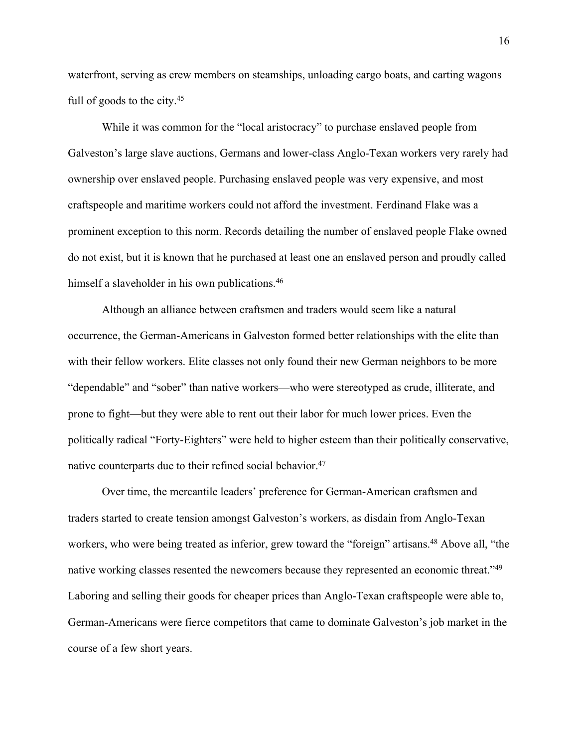waterfront, serving as crew members on steamships, unloading cargo boats, and carting wagons full of goods to the city.<sup>45</sup>

While it was common for the "local aristocracy" to purchase enslaved people from Galveston's large slave auctions, Germans and lower-class Anglo-Texan workers very rarely had ownership over enslaved people. Purchasing enslaved people was very expensive, and most craftspeople and maritime workers could not afford the investment. Ferdinand Flake was a prominent exception to this norm. Records detailing the number of enslaved people Flake owned do not exist, but it is known that he purchased at least one an enslaved person and proudly called himself a slaveholder in his own publications.<sup>46</sup>

Although an alliance between craftsmen and traders would seem like a natural occurrence, the German-Americans in Galveston formed better relationships with the elite than with their fellow workers. Elite classes not only found their new German neighbors to be more "dependable" and "sober" than native workers—who were stereotyped as crude, illiterate, and prone to fight—but they were able to rent out their labor for much lower prices. Even the politically radical "Forty-Eighters" were held to higher esteem than their politically conservative, native counterparts due to their refined social behavior.<sup>47</sup>

Over time, the mercantile leaders' preference for German-American craftsmen and traders started to create tension amongst Galveston's workers, as disdain from Anglo-Texan workers, who were being treated as inferior, grew toward the "foreign" artisans.<sup>48</sup> Above all, "the native working classes resented the newcomers because they represented an economic threat."<sup>49</sup> Laboring and selling their goods for cheaper prices than Anglo-Texan craftspeople were able to, German-Americans were fierce competitors that came to dominate Galveston's job market in the course of a few short years.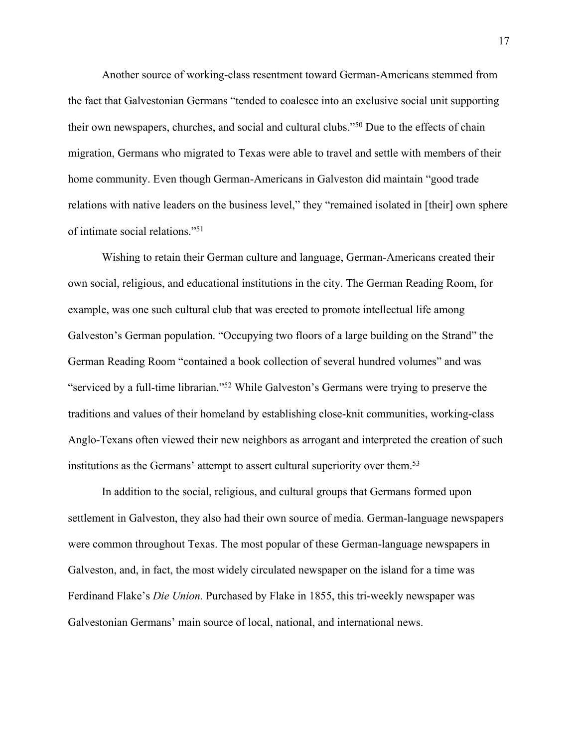Another source of working-class resentment toward German-Americans stemmed from the fact that Galvestonian Germans "tended to coalesce into an exclusive social unit supporting their own newspapers, churches, and social and cultural clubs."<sup>50</sup> Due to the effects of chain migration, Germans who migrated to Texas were able to travel and settle with members of their home community. Even though German-Americans in Galveston did maintain "good trade relations with native leaders on the business level," they "remained isolated in [their] own sphere of intimate social relations."<sup>51</sup>

Wishing to retain their German culture and language, German-Americans created their own social, religious, and educational institutions in the city. The German Reading Room, for example, was one such cultural club that was erected to promote intellectual life among Galveston's German population. "Occupying two floors of a large building on the Strand" the German Reading Room "contained a book collection of several hundred volumes" and was "serviced by a full-time librarian."<sup>52</sup> While Galveston's Germans were trying to preserve the traditions and values of their homeland by establishing close-knit communities, working-class Anglo-Texans often viewed their new neighbors as arrogant and interpreted the creation of such institutions as the Germans' attempt to assert cultural superiority over them.<sup>53</sup>

In addition to the social, religious, and cultural groups that Germans formed upon settlement in Galveston, they also had their own source of media. German-language newspapers were common throughout Texas. The most popular of these German-language newspapers in Galveston, and, in fact, the most widely circulated newspaper on the island for a time was Ferdinand Flake's *Die Union.* Purchased by Flake in 1855, this tri-weekly newspaper was Galvestonian Germans' main source of local, national, and international news.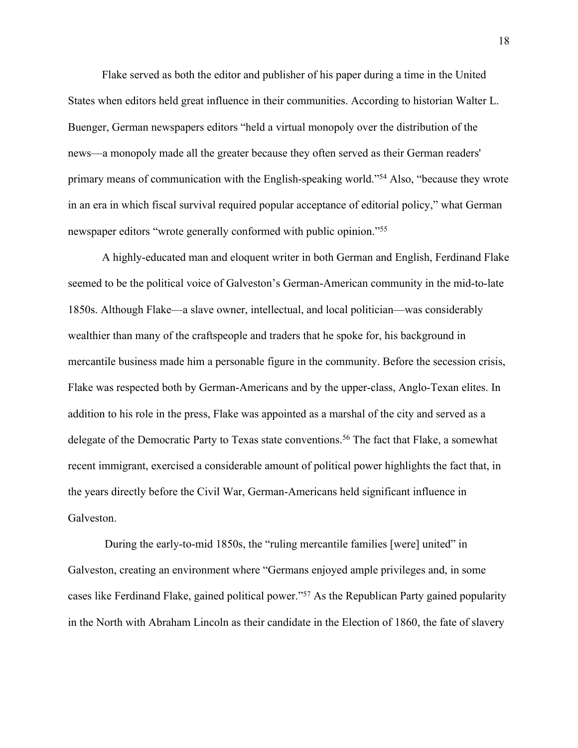Flake served as both the editor and publisher of his paper during a time in the United States when editors held great influence in their communities. According to historian Walter L. Buenger, German newspapers editors "held a virtual monopoly over the distribution of the news—a monopoly made all the greater because they often served as their German readers' primary means of communication with the English-speaking world."<sup>54</sup> Also, "because they wrote in an era in which fiscal survival required popular acceptance of editorial policy," what German newspaper editors "wrote generally conformed with public opinion."<sup>55</sup>

A highly-educated man and eloquent writer in both German and English, Ferdinand Flake seemed to be the political voice of Galveston's German-American community in the mid-to-late 1850s. Although Flake—a slave owner, intellectual, and local politician—was considerably wealthier than many of the craftspeople and traders that he spoke for, his background in mercantile business made him a personable figure in the community. Before the secession crisis, Flake was respected both by German-Americans and by the upper-class, Anglo-Texan elites. In addition to his role in the press, Flake was appointed as a marshal of the city and served as a delegate of the Democratic Party to Texas state conventions.<sup>56</sup> The fact that Flake, a somewhat recent immigrant, exercised a considerable amount of political power highlights the fact that, in the years directly before the Civil War, German-Americans held significant influence in Galveston.

 During the early-to-mid 1850s, the "ruling mercantile families [were] united" in Galveston, creating an environment where "Germans enjoyed ample privileges and, in some cases like Ferdinand Flake, gained political power."<sup>57</sup> As the Republican Party gained popularity in the North with Abraham Lincoln as their candidate in the Election of 1860, the fate of slavery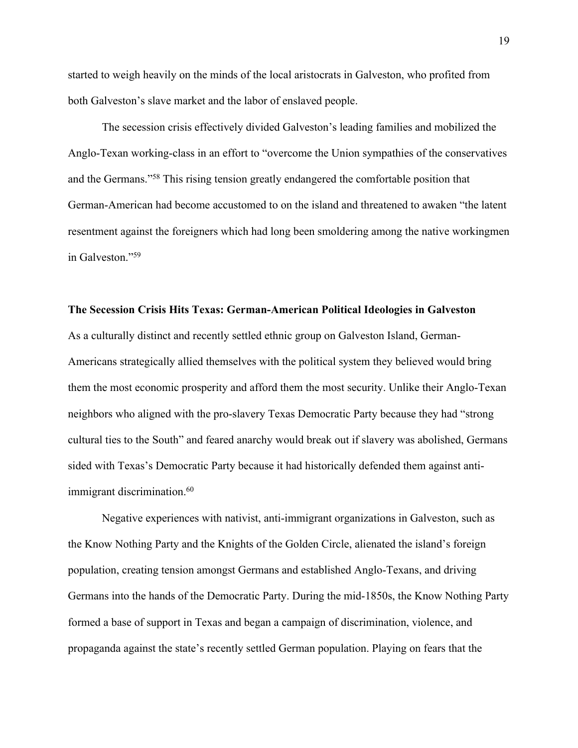started to weigh heavily on the minds of the local aristocrats in Galveston, who profited from both Galveston's slave market and the labor of enslaved people.

The secession crisis effectively divided Galveston's leading families and mobilized the Anglo-Texan working-class in an effort to "overcome the Union sympathies of the conservatives and the Germans."<sup>58</sup> This rising tension greatly endangered the comfortable position that German-American had become accustomed to on the island and threatened to awaken "the latent resentment against the foreigners which had long been smoldering among the native workingmen in Galveston."<sup>59</sup>

# **The Secession Crisis Hits Texas: German-American Political Ideologies in Galveston**

As a culturally distinct and recently settled ethnic group on Galveston Island, German-Americans strategically allied themselves with the political system they believed would bring them the most economic prosperity and afford them the most security. Unlike their Anglo-Texan neighbors who aligned with the pro-slavery Texas Democratic Party because they had "strong cultural ties to the South" and feared anarchy would break out if slavery was abolished, Germans sided with Texas's Democratic Party because it had historically defended them against antiimmigrant discrimination.<sup>60</sup>

Negative experiences with nativist, anti-immigrant organizations in Galveston, such as the Know Nothing Party and the Knights of the Golden Circle, alienated the island's foreign population, creating tension amongst Germans and established Anglo-Texans, and driving Germans into the hands of the Democratic Party. During the mid-1850s, the Know Nothing Party formed a base of support in Texas and began a campaign of discrimination, violence, and propaganda against the state's recently settled German population. Playing on fears that the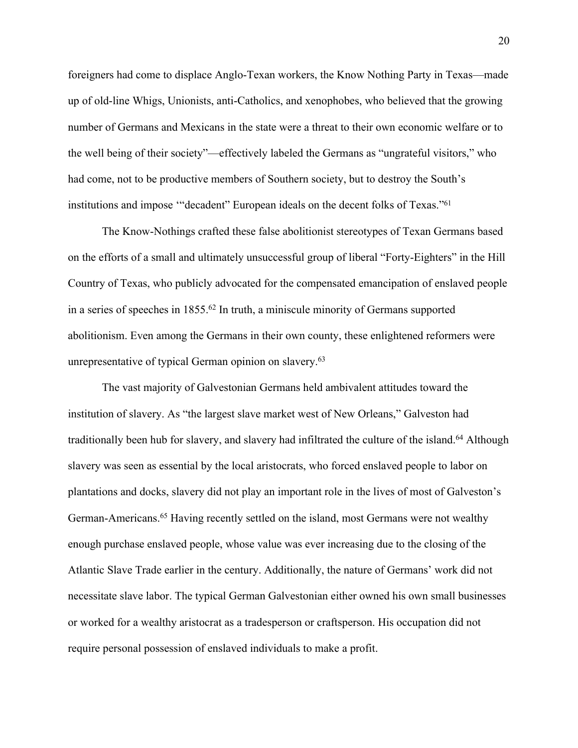foreigners had come to displace Anglo-Texan workers, the Know Nothing Party in Texas—made up of old-line Whigs, Unionists, anti-Catholics, and xenophobes, who believed that the growing number of Germans and Mexicans in the state were a threat to their own economic welfare or to the well being of their society"—effectively labeled the Germans as "ungrateful visitors," who had come, not to be productive members of Southern society, but to destroy the South's institutions and impose '"decadent" European ideals on the decent folks of Texas."<sup>61</sup>

The Know-Nothings crafted these false abolitionist stereotypes of Texan Germans based on the efforts of a small and ultimately unsuccessful group of liberal "Forty-Eighters" in the Hill Country of Texas, who publicly advocated for the compensated emancipation of enslaved people in a series of speeches in 1855.<sup>62</sup> In truth, a miniscule minority of Germans supported abolitionism. Even among the Germans in their own county, these enlightened reformers were unrepresentative of typical German opinion on slavery.<sup>63</sup>

The vast majority of Galvestonian Germans held ambivalent attitudes toward the institution of slavery. As "the largest slave market west of New Orleans," Galveston had traditionally been hub for slavery, and slavery had infiltrated the culture of the island.<sup>64</sup> Although slavery was seen as essential by the local aristocrats, who forced enslaved people to labor on plantations and docks, slavery did not play an important role in the lives of most of Galveston's German-Americans.<sup>65</sup> Having recently settled on the island, most Germans were not wealthy enough purchase enslaved people, whose value was ever increasing due to the closing of the Atlantic Slave Trade earlier in the century. Additionally, the nature of Germans' work did not necessitate slave labor. The typical German Galvestonian either owned his own small businesses or worked for a wealthy aristocrat as a tradesperson or craftsperson. His occupation did not require personal possession of enslaved individuals to make a profit.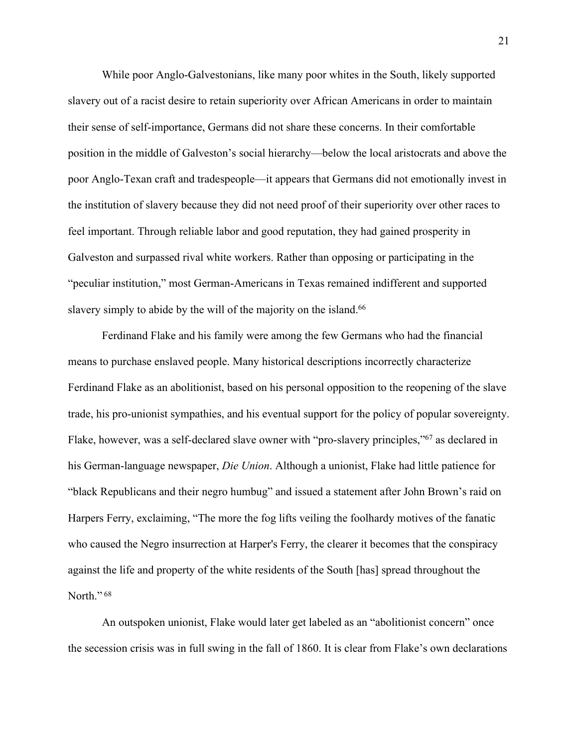While poor Anglo-Galvestonians, like many poor whites in the South, likely supported slavery out of a racist desire to retain superiority over African Americans in order to maintain their sense of self-importance, Germans did not share these concerns. In their comfortable position in the middle of Galveston's social hierarchy—below the local aristocrats and above the poor Anglo-Texan craft and tradespeople—it appears that Germans did not emotionally invest in the institution of slavery because they did not need proof of their superiority over other races to feel important. Through reliable labor and good reputation, they had gained prosperity in Galveston and surpassed rival white workers. Rather than opposing or participating in the "peculiar institution," most German-Americans in Texas remained indifferent and supported slavery simply to abide by the will of the majority on the island.<sup>66</sup>

Ferdinand Flake and his family were among the few Germans who had the financial means to purchase enslaved people. Many historical descriptions incorrectly characterize Ferdinand Flake as an abolitionist, based on his personal opposition to the reopening of the slave trade, his pro-unionist sympathies, and his eventual support for the policy of popular sovereignty. Flake, however, was a self-declared slave owner with "pro-slavery principles,"<sup>67</sup> as declared in his German-language newspaper, *Die Union*. Although a unionist, Flake had little patience for "black Republicans and their negro humbug" and issued a statement after John Brown's raid on Harpers Ferry, exclaiming, "The more the fog lifts veiling the foolhardy motives of the fanatic who caused the Negro insurrection at Harper's Ferry, the clearer it becomes that the conspiracy against the life and property of the white residents of the South [has] spread throughout the North."<sup>68</sup>

An outspoken unionist, Flake would later get labeled as an "abolitionist concern" once the secession crisis was in full swing in the fall of 1860. It is clear from Flake's own declarations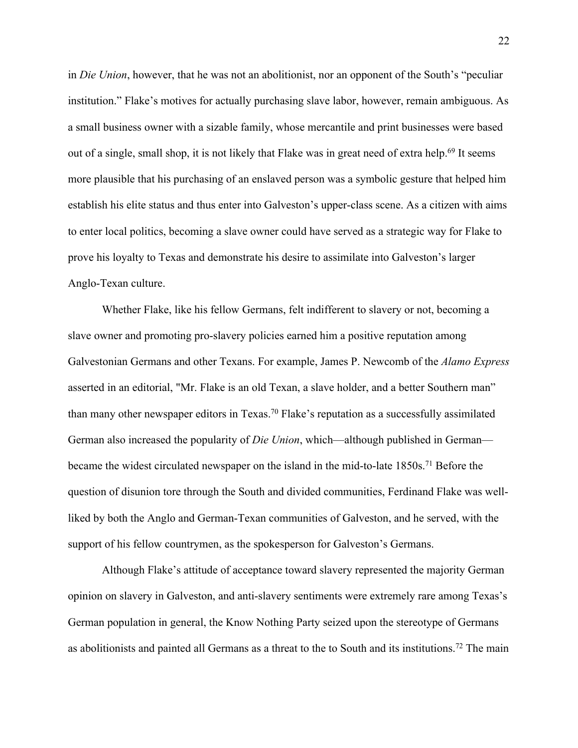in *Die Union*, however, that he was not an abolitionist, nor an opponent of the South's "peculiar institution." Flake's motives for actually purchasing slave labor, however, remain ambiguous. As a small business owner with a sizable family, whose mercantile and print businesses were based out of a single, small shop, it is not likely that Flake was in great need of extra help.<sup>69</sup> It seems more plausible that his purchasing of an enslaved person was a symbolic gesture that helped him establish his elite status and thus enter into Galveston's upper-class scene. As a citizen with aims to enter local politics, becoming a slave owner could have served as a strategic way for Flake to prove his loyalty to Texas and demonstrate his desire to assimilate into Galveston's larger Anglo-Texan culture.

Whether Flake, like his fellow Germans, felt indifferent to slavery or not, becoming a slave owner and promoting pro-slavery policies earned him a positive reputation among Galvestonian Germans and other Texans. For example, James P. Newcomb of the *Alamo Express* asserted in an editorial, "Mr. Flake is an old Texan, a slave holder, and a better Southern man" than many other newspaper editors in Texas.<sup>70</sup> Flake's reputation as a successfully assimilated German also increased the popularity of *Die Union*, which—although published in German became the widest circulated newspaper on the island in the mid-to-late 1850s.<sup>71</sup> Before the question of disunion tore through the South and divided communities, Ferdinand Flake was wellliked by both the Anglo and German-Texan communities of Galveston, and he served, with the support of his fellow countrymen, as the spokesperson for Galveston's Germans.

Although Flake's attitude of acceptance toward slavery represented the majority German opinion on slavery in Galveston, and anti-slavery sentiments were extremely rare among Texas's German population in general, the Know Nothing Party seized upon the stereotype of Germans as abolitionists and painted all Germans as a threat to the to South and its institutions.72 The main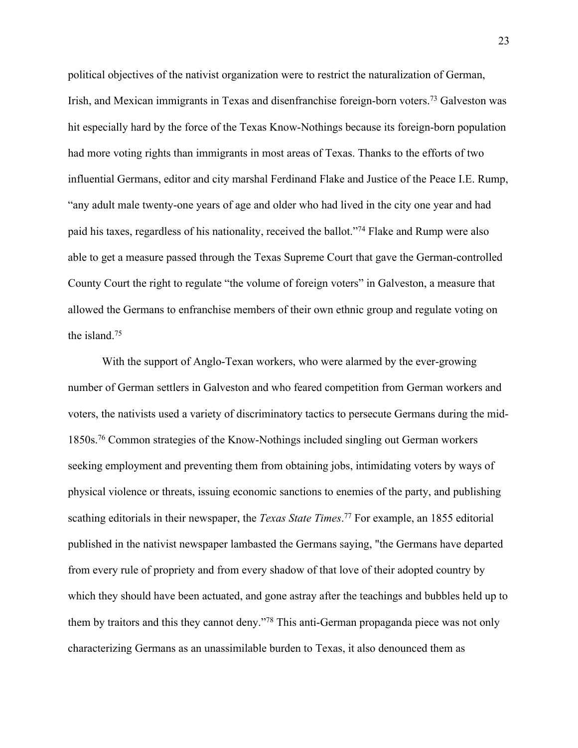political objectives of the nativist organization were to restrict the naturalization of German, Irish, and Mexican immigrants in Texas and disenfranchise foreign-born voters.<sup>73</sup> Galveston was hit especially hard by the force of the Texas Know-Nothings because its foreign-born population had more voting rights than immigrants in most areas of Texas. Thanks to the efforts of two influential Germans, editor and city marshal Ferdinand Flake and Justice of the Peace I.E. Rump, "any adult male twenty-one years of age and older who had lived in the city one year and had paid his taxes, regardless of his nationality, received the ballot."<sup>74</sup> Flake and Rump were also able to get a measure passed through the Texas Supreme Court that gave the German-controlled County Court the right to regulate "the volume of foreign voters" in Galveston, a measure that allowed the Germans to enfranchise members of their own ethnic group and regulate voting on the island.<sup>75</sup>

With the support of Anglo-Texan workers, who were alarmed by the ever-growing number of German settlers in Galveston and who feared competition from German workers and voters, the nativists used a variety of discriminatory tactics to persecute Germans during the mid-1850s.<sup>76</sup> Common strategies of the Know-Nothings included singling out German workers seeking employment and preventing them from obtaining jobs, intimidating voters by ways of physical violence or threats, issuing economic sanctions to enemies of the party, and publishing scathing editorials in their newspaper, the *Texas State Times*. <sup>77</sup> For example, an 1855 editorial published in the nativist newspaper lambasted the Germans saying, "the Germans have departed from every rule of propriety and from every shadow of that love of their adopted country by which they should have been actuated, and gone astray after the teachings and bubbles held up to them by traitors and this they cannot deny."<sup>78</sup> This anti-German propaganda piece was not only characterizing Germans as an unassimilable burden to Texas, it also denounced them as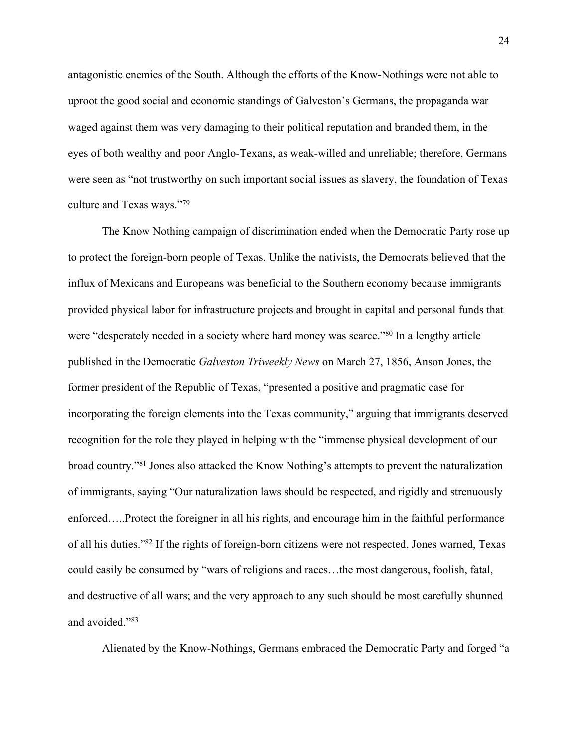antagonistic enemies of the South. Although the efforts of the Know-Nothings were not able to uproot the good social and economic standings of Galveston's Germans, the propaganda war waged against them was very damaging to their political reputation and branded them, in the eyes of both wealthy and poor Anglo-Texans, as weak-willed and unreliable; therefore, Germans were seen as "not trustworthy on such important social issues as slavery, the foundation of Texas culture and Texas ways."<sup>79</sup>

The Know Nothing campaign of discrimination ended when the Democratic Party rose up to protect the foreign-born people of Texas. Unlike the nativists, the Democrats believed that the influx of Mexicans and Europeans was beneficial to the Southern economy because immigrants provided physical labor for infrastructure projects and brought in capital and personal funds that were "desperately needed in a society where hard money was scarce."<sup>80</sup> In a lengthy article published in the Democratic *Galveston Triweekly News* on March 27, 1856, Anson Jones, the former president of the Republic of Texas, "presented a positive and pragmatic case for incorporating the foreign elements into the Texas community," arguing that immigrants deserved recognition for the role they played in helping with the "immense physical development of our broad country."<sup>81</sup> Jones also attacked the Know Nothing's attempts to prevent the naturalization of immigrants, saying "Our naturalization laws should be respected, and rigidly and strenuously enforced…..Protect the foreigner in all his rights, and encourage him in the faithful performance of all his duties."<sup>82</sup> If the rights of foreign-born citizens were not respected, Jones warned, Texas could easily be consumed by "wars of religions and races…the most dangerous, foolish, fatal, and destructive of all wars; and the very approach to any such should be most carefully shunned and avoided."<sup>83</sup>

Alienated by the Know-Nothings, Germans embraced the Democratic Party and forged "a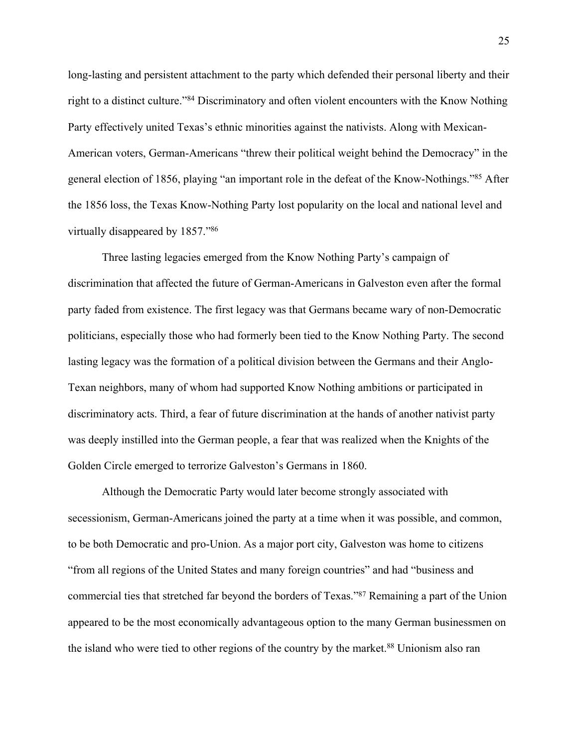long-lasting and persistent attachment to the party which defended their personal liberty and their right to a distinct culture."<sup>84</sup> Discriminatory and often violent encounters with the Know Nothing Party effectively united Texas's ethnic minorities against the nativists. Along with Mexican-American voters, German-Americans "threw their political weight behind the Democracy" in the general election of 1856, playing "an important role in the defeat of the Know-Nothings."<sup>85</sup> After the 1856 loss, the Texas Know-Nothing Party lost popularity on the local and national level and virtually disappeared by 1857."<sup>86</sup>

Three lasting legacies emerged from the Know Nothing Party's campaign of discrimination that affected the future of German-Americans in Galveston even after the formal party faded from existence. The first legacy was that Germans became wary of non-Democratic politicians, especially those who had formerly been tied to the Know Nothing Party. The second lasting legacy was the formation of a political division between the Germans and their Anglo-Texan neighbors, many of whom had supported Know Nothing ambitions or participated in discriminatory acts. Third, a fear of future discrimination at the hands of another nativist party was deeply instilled into the German people, a fear that was realized when the Knights of the Golden Circle emerged to terrorize Galveston's Germans in 1860.

Although the Democratic Party would later become strongly associated with secessionism, German-Americans joined the party at a time when it was possible, and common, to be both Democratic and pro-Union. As a major port city, Galveston was home to citizens "from all regions of the United States and many foreign countries" and had "business and commercial ties that stretched far beyond the borders of Texas."<sup>87</sup> Remaining a part of the Union appeared to be the most economically advantageous option to the many German businessmen on the island who were tied to other regions of the country by the market.<sup>88</sup> Unionism also ran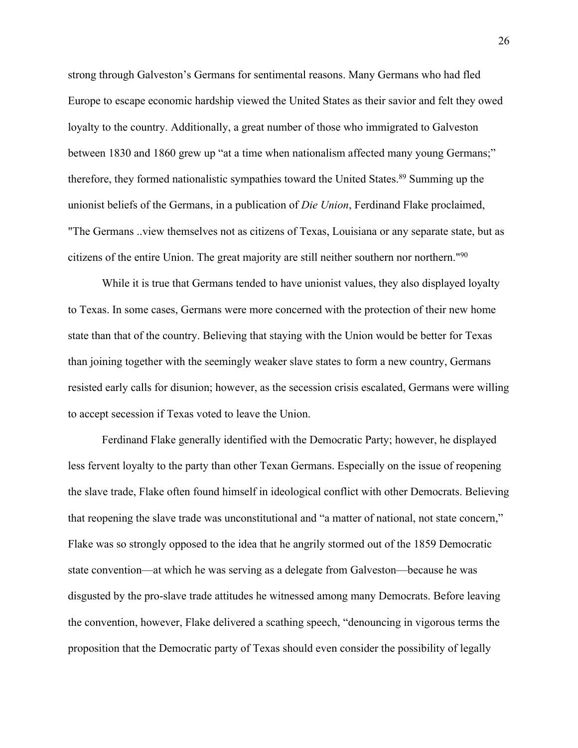strong through Galveston's Germans for sentimental reasons. Many Germans who had fled Europe to escape economic hardship viewed the United States as their savior and felt they owed loyalty to the country. Additionally, a great number of those who immigrated to Galveston between 1830 and 1860 grew up "at a time when nationalism affected many young Germans;" therefore, they formed nationalistic sympathies toward the United States.<sup>89</sup> Summing up the unionist beliefs of the Germans, in a publication of *Die Union*, Ferdinand Flake proclaimed, "The Germans ..view themselves not as citizens of Texas, Louisiana or any separate state, but as citizens of the entire Union. The great majority are still neither southern nor northern."<sup>90</sup>

While it is true that Germans tended to have unionist values, they also displayed loyalty to Texas. In some cases, Germans were more concerned with the protection of their new home state than that of the country. Believing that staying with the Union would be better for Texas than joining together with the seemingly weaker slave states to form a new country, Germans resisted early calls for disunion; however, as the secession crisis escalated, Germans were willing to accept secession if Texas voted to leave the Union.

Ferdinand Flake generally identified with the Democratic Party; however, he displayed less fervent loyalty to the party than other Texan Germans. Especially on the issue of reopening the slave trade, Flake often found himself in ideological conflict with other Democrats. Believing that reopening the slave trade was unconstitutional and "a matter of national, not state concern," Flake was so strongly opposed to the idea that he angrily stormed out of the 1859 Democratic state convention—at which he was serving as a delegate from Galveston—because he was disgusted by the pro-slave trade attitudes he witnessed among many Democrats. Before leaving the convention, however, Flake delivered a scathing speech, "denouncing in vigorous terms the proposition that the Democratic party of Texas should even consider the possibility of legally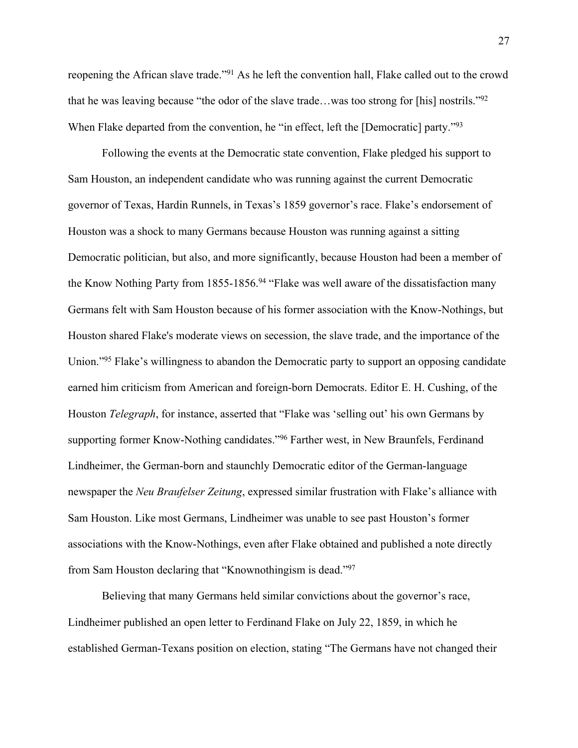reopening the African slave trade."<sup>91</sup> As he left the convention hall, Flake called out to the crowd that he was leaving because "the odor of the slave trade…was too strong for [his] nostrils."<sup>92</sup> When Flake departed from the convention, he "in effect, left the [Democratic] party."<sup>93</sup>

Following the events at the Democratic state convention, Flake pledged his support to Sam Houston, an independent candidate who was running against the current Democratic governor of Texas, Hardin Runnels, in Texas's 1859 governor's race. Flake's endorsement of Houston was a shock to many Germans because Houston was running against a sitting Democratic politician, but also, and more significantly, because Houston had been a member of the Know Nothing Party from 1855-1856.<sup>94</sup> "Flake was well aware of the dissatisfaction many Germans felt with Sam Houston because of his former association with the Know-Nothings, but Houston shared Flake's moderate views on secession, the slave trade, and the importance of the Union."<sup>95</sup> Flake's willingness to abandon the Democratic party to support an opposing candidate earned him criticism from American and foreign-born Democrats. Editor E. H. Cushing, of the Houston *Telegraph*, for instance, asserted that "Flake was 'selling out' his own Germans by supporting former Know-Nothing candidates."<sup>96</sup> Farther west, in New Braunfels, Ferdinand Lindheimer, the German-born and staunchly Democratic editor of the German-language newspaper the *Neu Braufelser Zeitung*, expressed similar frustration with Flake's alliance with Sam Houston. Like most Germans, Lindheimer was unable to see past Houston's former associations with the Know-Nothings, even after Flake obtained and published a note directly from Sam Houston declaring that "Knownothingism is dead."<sup>97</sup>

Believing that many Germans held similar convictions about the governor's race, Lindheimer published an open letter to Ferdinand Flake on July 22, 1859, in which he established German-Texans position on election, stating "The Germans have not changed their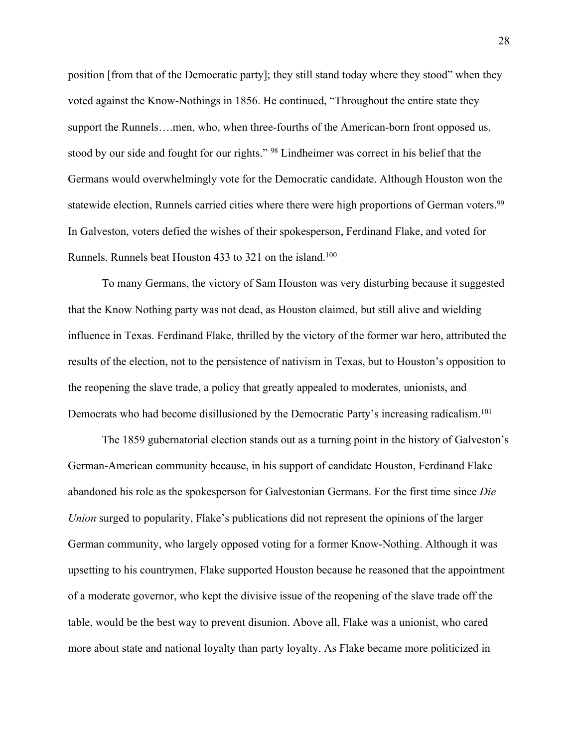position [from that of the Democratic party]; they still stand today where they stood" when they voted against the Know-Nothings in 1856. He continued, "Throughout the entire state they support the Runnels….men, who, when three-fourths of the American-born front opposed us, stood by our side and fought for our rights." <sup>98</sup> Lindheimer was correct in his belief that the Germans would overwhelmingly vote for the Democratic candidate. Although Houston won the statewide election, Runnels carried cities where there were high proportions of German voters.<sup>99</sup> In Galveston, voters defied the wishes of their spokesperson, Ferdinand Flake, and voted for Runnels. Runnels beat Houston 433 to 321 on the island.<sup>100</sup>

To many Germans, the victory of Sam Houston was very disturbing because it suggested that the Know Nothing party was not dead, as Houston claimed, but still alive and wielding influence in Texas. Ferdinand Flake, thrilled by the victory of the former war hero, attributed the results of the election, not to the persistence of nativism in Texas, but to Houston's opposition to the reopening the slave trade, a policy that greatly appealed to moderates, unionists, and Democrats who had become disillusioned by the Democratic Party's increasing radicalism.<sup>101</sup>

The 1859 gubernatorial election stands out as a turning point in the history of Galveston's German-American community because, in his support of candidate Houston, Ferdinand Flake abandoned his role as the spokesperson for Galvestonian Germans. For the first time since *Die Union* surged to popularity, Flake's publications did not represent the opinions of the larger German community, who largely opposed voting for a former Know-Nothing. Although it was upsetting to his countrymen, Flake supported Houston because he reasoned that the appointment of a moderate governor, who kept the divisive issue of the reopening of the slave trade off the table, would be the best way to prevent disunion. Above all, Flake was a unionist, who cared more about state and national loyalty than party loyalty. As Flake became more politicized in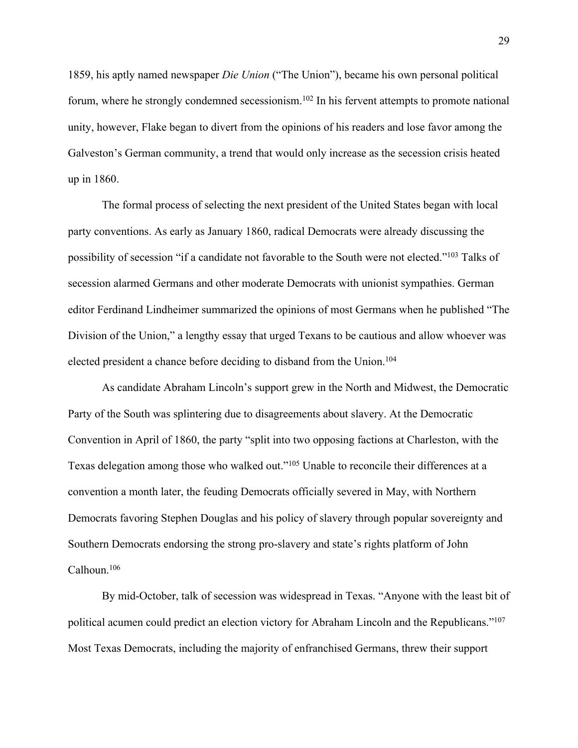1859, his aptly named newspaper *Die Union* ("The Union"), became his own personal political forum, where he strongly condemned secessionism.<sup>102</sup> In his fervent attempts to promote national unity, however, Flake began to divert from the opinions of his readers and lose favor among the Galveston's German community, a trend that would only increase as the secession crisis heated up in 1860.

The formal process of selecting the next president of the United States began with local party conventions. As early as January 1860, radical Democrats were already discussing the possibility of secession "if a candidate not favorable to the South were not elected."<sup>103</sup> Talks of secession alarmed Germans and other moderate Democrats with unionist sympathies. German editor Ferdinand Lindheimer summarized the opinions of most Germans when he published "The Division of the Union," a lengthy essay that urged Texans to be cautious and allow whoever was elected president a chance before deciding to disband from the Union.<sup>104</sup>

As candidate Abraham Lincoln's support grew in the North and Midwest, the Democratic Party of the South was splintering due to disagreements about slavery. At the Democratic Convention in April of 1860, the party "split into two opposing factions at Charleston, with the Texas delegation among those who walked out."<sup>105</sup> Unable to reconcile their differences at a convention a month later, the feuding Democrats officially severed in May, with Northern Democrats favoring Stephen Douglas and his policy of slavery through popular sovereignty and Southern Democrats endorsing the strong pro-slavery and state's rights platform of John Calhoun.<sup>106</sup>

By mid-October, talk of secession was widespread in Texas. "Anyone with the least bit of political acumen could predict an election victory for Abraham Lincoln and the Republicans."<sup>107</sup> Most Texas Democrats, including the majority of enfranchised Germans, threw their support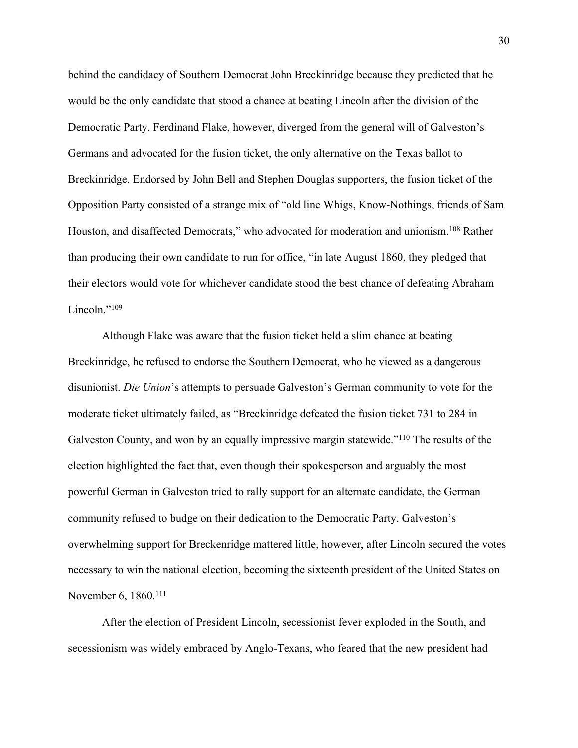behind the candidacy of Southern Democrat John Breckinridge because they predicted that he would be the only candidate that stood a chance at beating Lincoln after the division of the Democratic Party. Ferdinand Flake, however, diverged from the general will of Galveston's Germans and advocated for the fusion ticket, the only alternative on the Texas ballot to Breckinridge. Endorsed by John Bell and Stephen Douglas supporters, the fusion ticket of the Opposition Party consisted of a strange mix of "old line Whigs, Know-Nothings, friends of Sam Houston, and disaffected Democrats," who advocated for moderation and unionism.<sup>108</sup> Rather than producing their own candidate to run for office, "in late August 1860, they pledged that their electors would vote for whichever candidate stood the best chance of defeating Abraham Lincoln."<sup>109</sup>

Although Flake was aware that the fusion ticket held a slim chance at beating Breckinridge, he refused to endorse the Southern Democrat, who he viewed as a dangerous disunionist. *Die Union*'s attempts to persuade Galveston's German community to vote for the moderate ticket ultimately failed, as "Breckinridge defeated the fusion ticket 731 to 284 in Galveston County, and won by an equally impressive margin statewide."<sup>110</sup> The results of the election highlighted the fact that, even though their spokesperson and arguably the most powerful German in Galveston tried to rally support for an alternate candidate, the German community refused to budge on their dedication to the Democratic Party. Galveston's overwhelming support for Breckenridge mattered little, however, after Lincoln secured the votes necessary to win the national election, becoming the sixteenth president of the United States on November 6, 1860.<sup>111</sup>

After the election of President Lincoln, secessionist fever exploded in the South, and secessionism was widely embraced by Anglo-Texans, who feared that the new president had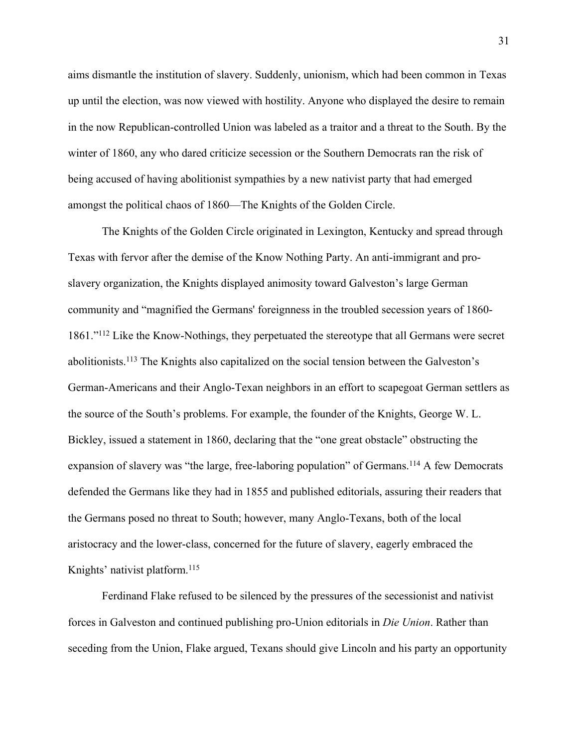aims dismantle the institution of slavery. Suddenly, unionism, which had been common in Texas up until the election, was now viewed with hostility. Anyone who displayed the desire to remain in the now Republican-controlled Union was labeled as a traitor and a threat to the South. By the winter of 1860, any who dared criticize secession or the Southern Democrats ran the risk of being accused of having abolitionist sympathies by a new nativist party that had emerged amongst the political chaos of 1860—The Knights of the Golden Circle.

The Knights of the Golden Circle originated in Lexington, Kentucky and spread through Texas with fervor after the demise of the Know Nothing Party. An anti-immigrant and proslavery organization, the Knights displayed animosity toward Galveston's large German community and "magnified the Germans' foreignness in the troubled secession years of 1860- 1861."<sup>112</sup> Like the Know-Nothings, they perpetuated the stereotype that all Germans were secret abolitionists.<sup>113</sup> The Knights also capitalized on the social tension between the Galveston's German-Americans and their Anglo-Texan neighbors in an effort to scapegoat German settlers as the source of the South's problems. For example, the founder of the Knights, George W. L. Bickley, issued a statement in 1860, declaring that the "one great obstacle" obstructing the expansion of slavery was "the large, free-laboring population" of Germans.<sup>114</sup> A few Democrats defended the Germans like they had in 1855 and published editorials, assuring their readers that the Germans posed no threat to South; however, many Anglo-Texans, both of the local aristocracy and the lower-class, concerned for the future of slavery, eagerly embraced the Knights' nativist platform.<sup>115</sup>

Ferdinand Flake refused to be silenced by the pressures of the secessionist and nativist forces in Galveston and continued publishing pro-Union editorials in *Die Union*. Rather than seceding from the Union, Flake argued, Texans should give Lincoln and his party an opportunity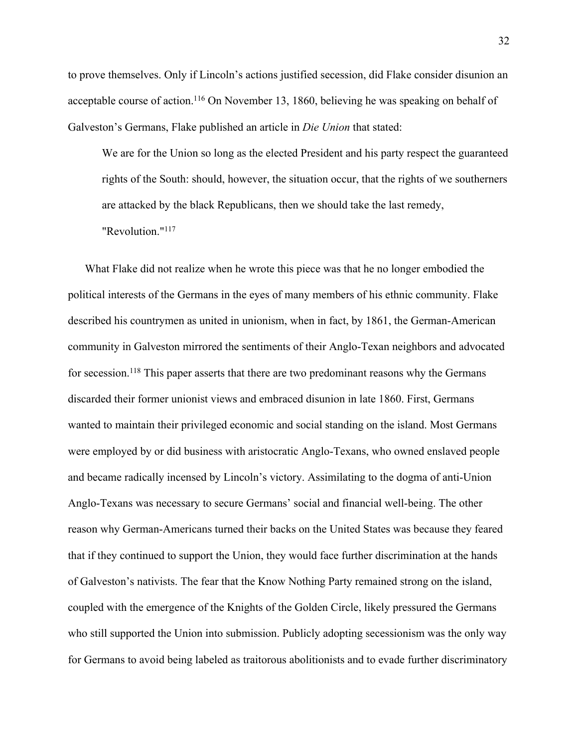to prove themselves. Only if Lincoln's actions justified secession, did Flake consider disunion an acceptable course of action.<sup>116</sup> On November 13, 1860, believing he was speaking on behalf of Galveston's Germans, Flake published an article in *Die Union* that stated:

We are for the Union so long as the elected President and his party respect the guaranteed rights of the South: should, however, the situation occur, that the rights of we southerners are attacked by the black Republicans, then we should take the last remedy, "Revolution."<sup>117</sup>

What Flake did not realize when he wrote this piece was that he no longer embodied the political interests of the Germans in the eyes of many members of his ethnic community. Flake described his countrymen as united in unionism, when in fact, by 1861, the German-American community in Galveston mirrored the sentiments of their Anglo-Texan neighbors and advocated for secession.<sup>118</sup> This paper asserts that there are two predominant reasons why the Germans discarded their former unionist views and embraced disunion in late 1860. First, Germans wanted to maintain their privileged economic and social standing on the island. Most Germans were employed by or did business with aristocratic Anglo-Texans, who owned enslaved people and became radically incensed by Lincoln's victory. Assimilating to the dogma of anti-Union Anglo-Texans was necessary to secure Germans' social and financial well-being. The other reason why German-Americans turned their backs on the United States was because they feared that if they continued to support the Union, they would face further discrimination at the hands of Galveston's nativists. The fear that the Know Nothing Party remained strong on the island, coupled with the emergence of the Knights of the Golden Circle, likely pressured the Germans who still supported the Union into submission. Publicly adopting secessionism was the only way for Germans to avoid being labeled as traitorous abolitionists and to evade further discriminatory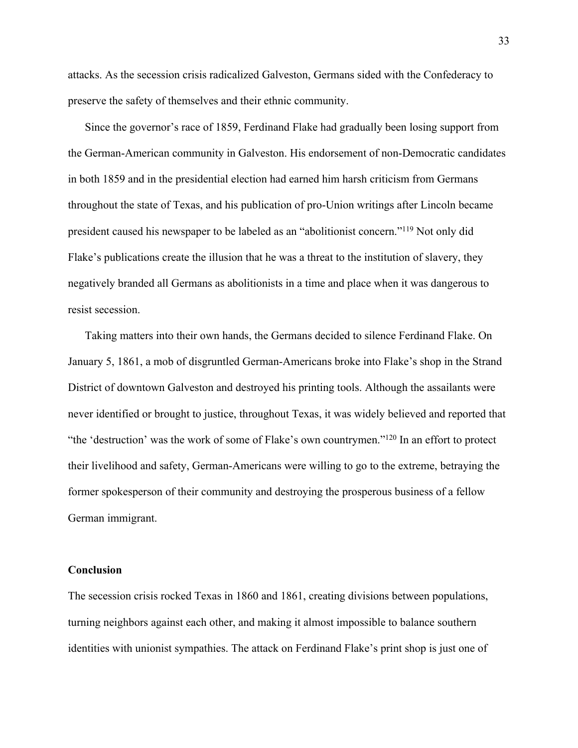attacks. As the secession crisis radicalized Galveston, Germans sided with the Confederacy to preserve the safety of themselves and their ethnic community.

Since the governor's race of 1859, Ferdinand Flake had gradually been losing support from the German-American community in Galveston. His endorsement of non-Democratic candidates in both 1859 and in the presidential election had earned him harsh criticism from Germans throughout the state of Texas, and his publication of pro-Union writings after Lincoln became president caused his newspaper to be labeled as an "abolitionist concern."<sup>119</sup> Not only did Flake's publications create the illusion that he was a threat to the institution of slavery, they negatively branded all Germans as abolitionists in a time and place when it was dangerous to resist secession.

Taking matters into their own hands, the Germans decided to silence Ferdinand Flake. On January 5, 1861, a mob of disgruntled German-Americans broke into Flake's shop in the Strand District of downtown Galveston and destroyed his printing tools. Although the assailants were never identified or brought to justice, throughout Texas, it was widely believed and reported that "the 'destruction' was the work of some of Flake's own countrymen."<sup>120</sup> In an effort to protect their livelihood and safety, German-Americans were willing to go to the extreme, betraying the former spokesperson of their community and destroying the prosperous business of a fellow German immigrant.

# **Conclusion**

The secession crisis rocked Texas in 1860 and 1861, creating divisions between populations, turning neighbors against each other, and making it almost impossible to balance southern identities with unionist sympathies. The attack on Ferdinand Flake's print shop is just one of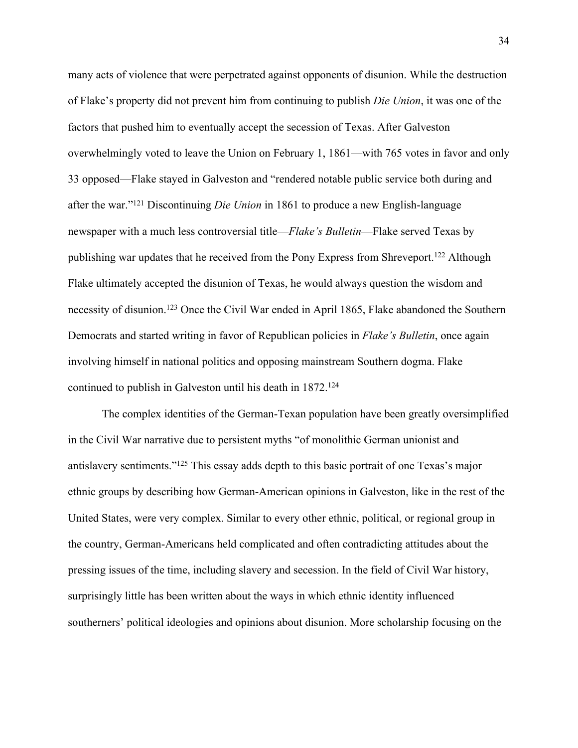many acts of violence that were perpetrated against opponents of disunion. While the destruction of Flake's property did not prevent him from continuing to publish *Die Union*, it was one of the factors that pushed him to eventually accept the secession of Texas. After Galveston overwhelmingly voted to leave the Union on February 1, 1861—with 765 votes in favor and only 33 opposed—Flake stayed in Galveston and "rendered notable public service both during and after the war."<sup>121</sup> Discontinuing *Die Union* in 1861 to produce a new English-language newspaper with a much less controversial title—*Flake's Bulletin*—Flake served Texas by publishing war updates that he received from the Pony Express from Shreveport.<sup>122</sup> Although Flake ultimately accepted the disunion of Texas, he would always question the wisdom and necessity of disunion.<sup>123</sup> Once the Civil War ended in April 1865, Flake abandoned the Southern Democrats and started writing in favor of Republican policies in *Flake's Bulletin*, once again involving himself in national politics and opposing mainstream Southern dogma. Flake continued to publish in Galveston until his death in 1872.<sup>124</sup>

The complex identities of the German-Texan population have been greatly oversimplified in the Civil War narrative due to persistent myths "of monolithic German unionist and antislavery sentiments."<sup>125</sup> This essay adds depth to this basic portrait of one Texas's major ethnic groups by describing how German-American opinions in Galveston, like in the rest of the United States, were very complex. Similar to every other ethnic, political, or regional group in the country, German-Americans held complicated and often contradicting attitudes about the pressing issues of the time, including slavery and secession. In the field of Civil War history, surprisingly little has been written about the ways in which ethnic identity influenced southerners' political ideologies and opinions about disunion. More scholarship focusing on the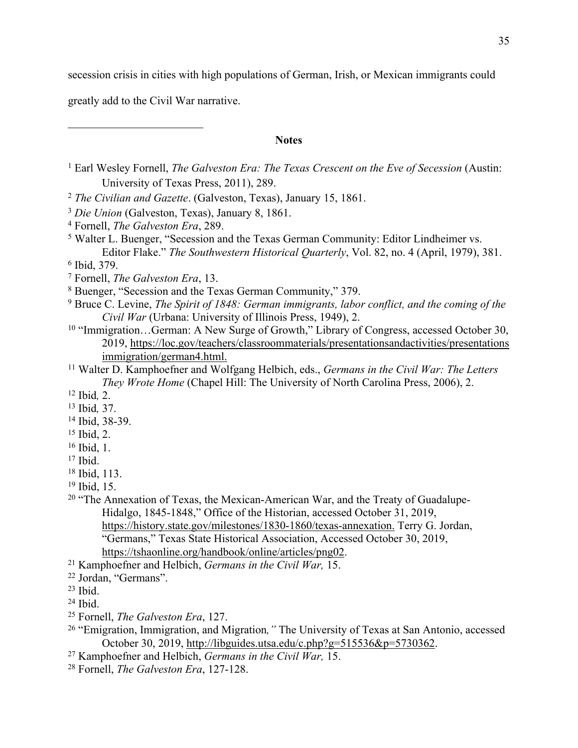secession crisis in cities with high populations of German, Irish, or Mexican immigrants could

greatly add to the Civil War narrative.

# **Notes**

- Earl Wesley Fornell, *The Galveston Era: The Texas Crescent on the Eve of Secession* (Austin: University of Texas Press, 2011), 289.
- *The Civilian and Gazette*. (Galveston, Texas), January 15, 1861.
- *Die Union* (Galveston, Texas), January 8, 1861.
- Fornell, *The Galveston Era*, 289.
- <sup>5</sup> Walter L. Buenger, "Secession and the Texas German Community: Editor Lindheimer vs. Editor Flake." *The Southwestern Historical Quarterly*, Vol. 82, no. 4 (April, 1979), 381.
- Ibid, 379.
- Fornell, *The Galveston Era*, 13.
- Buenger, "Secession and the Texas German Community," 379.
- Bruce C. Levine, *The Spirit of 1848: German immigrants, labor conflict, and the coming of the Civil War* (Urbana: University of Illinois Press, 1949), 2.
- <sup>10</sup> "Immigration...German: A New Surge of Growth," Library of Congress, accessed October 30, 2019, [https://loc.gov/teachers/classroommaterials/presentationsandactivities/presentations](https://www.loc.gov/teachers/classroommaterials/presentationsandactivities/presentations/immigration/german4.html) immigration/german4.html.
- Walter D. Kamphoefner and Wolfgang Helbich, eds., *Germans in the Civil War: The Letters They Wrote Home* (Chapel Hill: The University of North Carolina Press, 2006), 2.
- Ibid*,* 2.
- Ibid*,* 37.
- Ibid, 38-39.
- Ibid, 2.
- Ibid, 1.
- Ibid.
- Ibid, 113.
- Ibid, 15.
- <sup>20</sup> "The Annexation of Texas, the Mexican-American War, and the Treaty of Guadalupe-Hidalgo, 1845-1848," Office of the Historian, accessed October 31, 2019, <https://history.state.gov/milestones/1830-1860/texas-annexation>. Terry G. Jordan, "Germans," Texas State Historical Association, Accessed October 30, 2019, [https://tshaonline.org/handbook/online/articles/png02.](https://tshaonline.org/handbook/online/articles/png02)
- Kamphoefner and Helbich, *Germans in the Civil War,* 15.
- Jordan, "Germans".
- Ibid.
- Ibid.
- Fornell, *The Galveston Era*, 127.
- "Emigration, Immigration, and Migration*,"* The University of Texas at San Antonio, accessed October 30, 2019, [http://libguides.utsa.edu/c.php?g=515536&p=5730362.](http://libguides.utsa.edu/c.php?g=515536&p=5730362)
- Kamphoefner and Helbich, *Germans in the Civil War,* 15.
- Fornell, *The Galveston Era*, 127-128.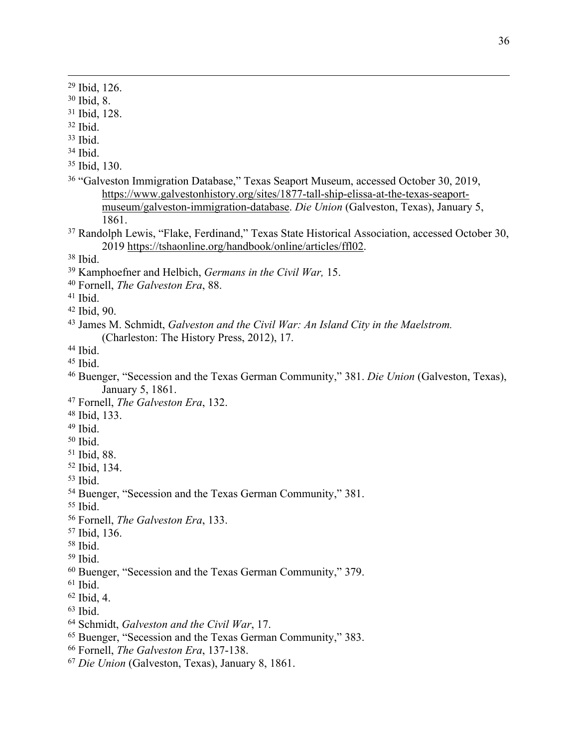Ibid, 126. Ibid, 8. Ibid, 128. Ibid. Ibid. Ibid. Ibid, 130. "Galveston Immigration Database," Texas Seaport Museum, accessed October 30, 2019, [https://www.galvestonhistory.org/sites/1877-tall-ship-elissa-at-the-texas-seaport](https://www.galvestonhistory.org/sites/1877-tall-ship-elissa-at-the-texas-seaport-museum/galveston-immigration-database)[museum/galveston-immigration-database.](https://www.galvestonhistory.org/sites/1877-tall-ship-elissa-at-the-texas-seaport-museum/galveston-immigration-database) *Die Union* (Galveston, Texas), January 5, 1861. Randolph Lewis, "Flake, Ferdinand," Texas State Historical Association, accessed October 30, <https://tshaonline.org/handbook/online/articles/ffl02>. Ibid. Kamphoefner and Helbich, *Germans in the Civil War,* 15. Fornell, *The Galveston Era*, 88. Ibid. Ibid, 90. James M. Schmidt, *Galveston and the Civil War: An Island City in the Maelstrom.*  (Charleston: The History Press, 2012), 17. Ibid. Ibid. Buenger, "Secession and the Texas German Community," 381. *Die Union* (Galveston, Texas), January 5, 1861. Fornell, *The Galveston Era*, 132. Ibid, 133. Ibid. Ibid. Ibid, 88. Ibid, 134. Ibid. Buenger, "Secession and the Texas German Community," 381. Ibid. Fornell, *The Galveston Era*, 133. Ibid, 136. Ibid. Ibid. Buenger, "Secession and the Texas German Community," 379. Ibid. Ibid, 4. Ibid. Schmidt, *Galveston and the Civil War*, 17. Buenger, "Secession and the Texas German Community," 383. Fornell, *The Galveston Era*, 137-138.

*Die Union* (Galveston, Texas), January 8, 1861.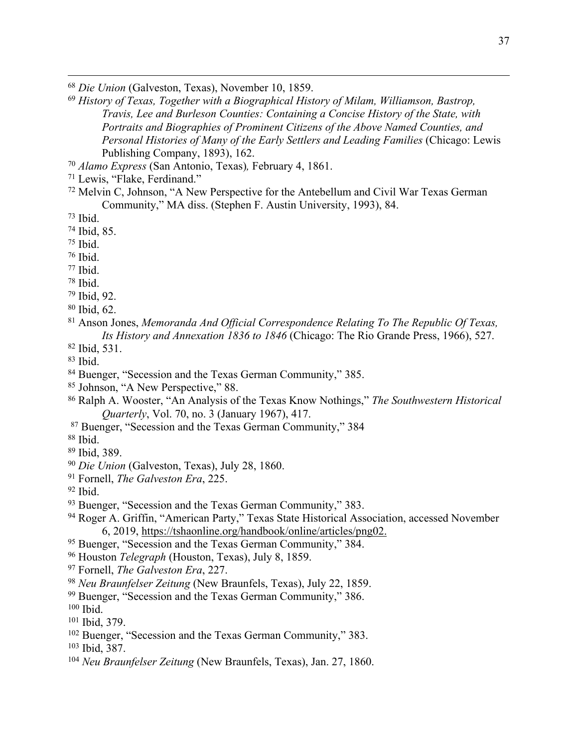*Die Union* (Galveston, Texas), November 10, 1859.

- *History of Texas, Together with a Biographical History of Milam, Williamson, Bastrop, Travis, Lee and Burleson Counties: Containing a Concise History of the State, with Portraits and Biographies of Prominent Citizens of the Above Named Counties, and Personal Histories of Many of the Early Settlers and Leading Families* (Chicago: Lewis Publishing Company, 1893), 162.
- *Alamo Express* (San Antonio, Texas)*,* February 4, 1861.
- Lewis, "Flake, Ferdinand."
- Melvin C, Johnson, "A New Perspective for the Antebellum and Civil War Texas German Community," MA diss. (Stephen F. Austin University, 1993), 84.
- Ibid.
- Ibid, 85.
- Ibid.
- Ibid.
- Ibid.
- Ibid.
- Ibid, 92.
- Ibid, 62.
- Anson Jones, *Memoranda And Official Correspondence Relating To The Republic Of Texas, Its History and Annexation 1836 to 1846* (Chicago: The Rio Grande Press, 1966), 527.
- Ibid, 531.
- Ibid.
- Buenger, "Secession and the Texas German Community," 385.
- Johnson, "A New Perspective," 88.
- Ralph A. Wooster, "An Analysis of the Texas Know Nothings," *The Southwestern Historical Quarterly*, Vol. 70, no. 3 (January 1967), 417.
- Buenger, "Secession and the Texas German Community," 384
- Ibid.
- Ibid, 389.
- *Die Union* (Galveston, Texas), July 28, 1860.
- Fornell, *The Galveston Era*, 225.
- Ibid.
- Buenger, "Secession and the Texas German Community," 383.
- Roger A. Griffin, "American Party," Texas State Historical Association, accessed November 6, 2019, [https://tshaonline.org/handbook/online/articles/png02.](https://tshaonline.org/handbook/online/articles/png02)
- <sup>95</sup> Buenger, "Secession and the Texas German Community," 384.
- Houston *Telegraph* (Houston, Texas), July 8, 1859.
- Fornell, *The Galveston Era*, 227.
- *Neu Braunfelser Zeitung* (New Braunfels, Texas), July 22, 1859.
- Buenger, "Secession and the Texas German Community," 386.
- Ibid.
- Ibid, 379.
- Buenger, "Secession and the Texas German Community," 383.
- Ibid, 387.
- *Neu Braunfelser Zeitung* (New Braunfels, Texas), Jan. 27, 1860.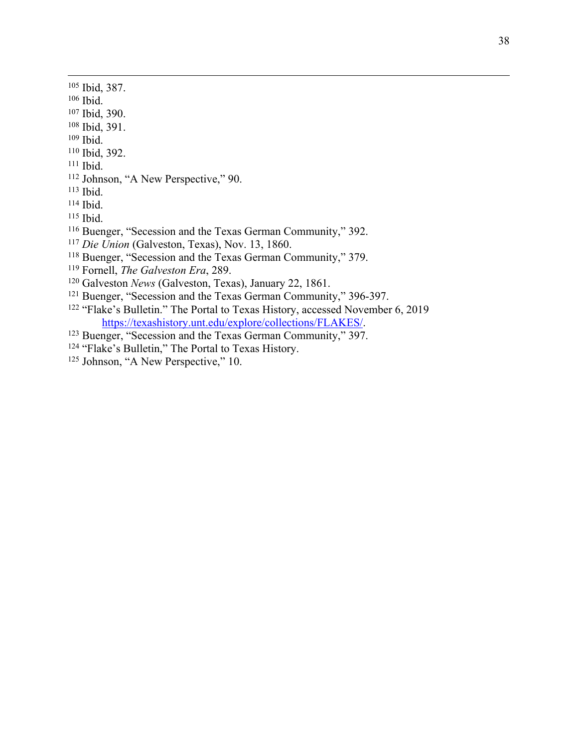- Ibid, 387.
- Ibid.
- Ibid, 390.
- Ibid, 391.
- Ibid.
- Ibid, 392.
- Ibid.
- Johnson, "A New Perspective," 90.
- Ibid.
- Ibid.
- Ibid.
- Buenger, "Secession and the Texas German Community," 392.
- *Die Union* (Galveston, Texas), Nov. 13, 1860.
- Buenger, "Secession and the Texas German Community," 379.
- Fornell, *The Galveston Era*, 289.
- Galveston *News* (Galveston, Texas), January 22, 1861.
- Buenger, "Secession and the Texas German Community," 396-397.
- <sup>122</sup> "Flake's Bulletin." The Portal to Texas History, accessed November 6, 2019 [https://texashistory.unt.edu/explore/collections/FLAKES/.](https://texashistory.unt.edu/explore/collections/FLAKES/)
- Buenger, "Secession and the Texas German Community," 397.
- "Flake's Bulletin," The Portal to Texas History.
- Johnson, "A New Perspective," 10.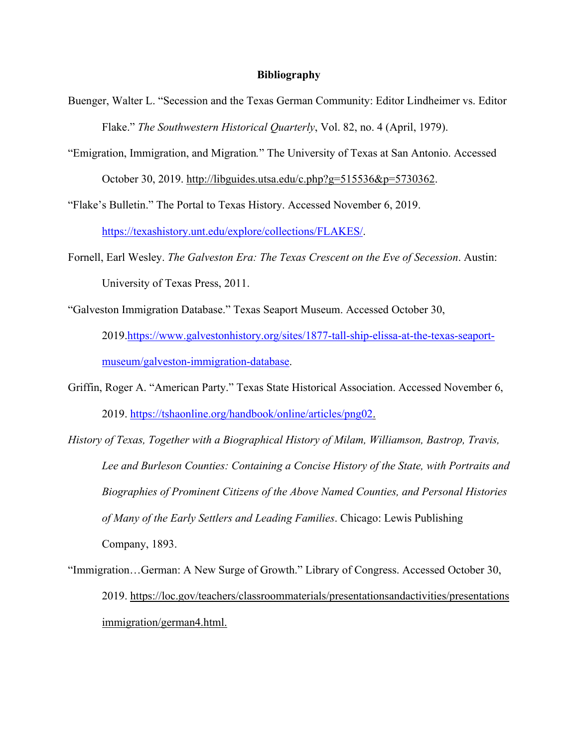# **Bibliography**

- Buenger, Walter L. "Secession and the Texas German Community: Editor Lindheimer vs. Editor Flake." *The Southwestern Historical Quarterly*, Vol. 82, no. 4 (April, 1979).
- "Emigration, Immigration, and Migration*.*" The University of Texas at San Antonio. Accessed October 30, 2019. [http://libguides.utsa.edu/c.php?g=515536&p=5730362.](http://libguides.utsa.edu/c.php?g=515536&p=5730362)

"Flake's Bulletin." The Portal to Texas History. Accessed November 6, 2019.

[https://texashistory.unt.edu/explore/collections/FLAKES/.](https://texashistory.unt.edu/explore/collections/FLAKES/)

- Fornell, Earl Wesley. *The Galveston Era: The Texas Crescent on the Eve of Secession*. Austin: University of Texas Press, 2011.
- "Galveston Immigration Database." Texas Seaport Museum. Accessed October 30, 2019.[https://www.galvestonhistory.org/sites/1877-tall-ship-elissa-at-the-texas-seaport](https://www.galvestonhistory.org/sites/1877-tall-ship-elissa-at-the-texas-seaport-museum/galveston-immigration-database)[museum/galveston-immigration-database.](https://www.galvestonhistory.org/sites/1877-tall-ship-elissa-at-the-texas-seaport-museum/galveston-immigration-database)
- Griffin, Roger A. "American Party." Texas State Historical Association. Accessed November 6, 2019. [https://tshaonline.org/handbook/online/articles/png02.](https://tshaonline.org/handbook/online/articles/png02)
- *History of Texas, Together with a Biographical History of Milam, Williamson, Bastrop, Travis, Lee and Burleson Counties: Containing a Concise History of the State, with Portraits and Biographies of Prominent Citizens of the Above Named Counties, and Personal Histories of Many of the Early Settlers and Leading Families*. Chicago: Lewis Publishing Company, 1893.
- "Immigration…German: A New Surge of Growth." Library of Congress. Accessed October 30, 2019. [https://loc.gov/teachers/classroommaterials/presentationsandactivities/presentations](https://www.loc.gov/teachers/classroommaterials/presentationsandactivities/presentations/immigration/german4.html) immigration/german4.html.